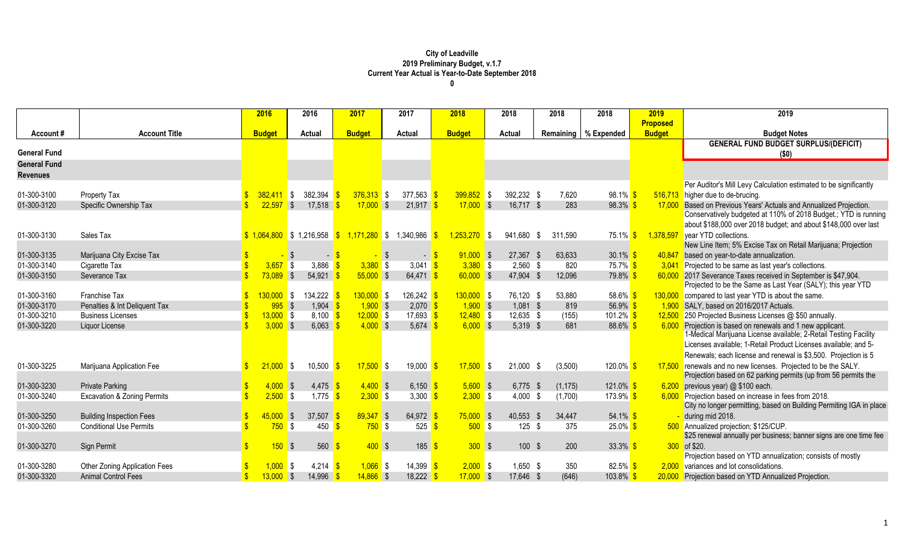|                     |                                        | 2016          | 2016            | 2017                                      | 2017        | 2018                | 2018          | 2018            | 2018                   | 2019            | 2019                                                                |
|---------------------|----------------------------------------|---------------|-----------------|-------------------------------------------|-------------|---------------------|---------------|-----------------|------------------------|-----------------|---------------------------------------------------------------------|
|                     |                                        |               |                 |                                           |             |                     |               |                 |                        | <b>Proposed</b> |                                                                     |
| Account#            | <b>Account Title</b>                   | <b>Budget</b> | Actual          | <b>Budget</b>                             | Actual      | <b>Budget</b>       | <b>Actual</b> |                 | Remaining   % Expended | <b>Budget</b>   | <b>Budget Notes</b>                                                 |
|                     |                                        |               |                 |                                           |             |                     |               |                 |                        |                 | <b>GENERAL FUND BUDGET SURPLUS/(DEFICIT)</b>                        |
| <b>General Fund</b> |                                        |               |                 |                                           |             |                     |               |                 |                        |                 | (50)                                                                |
| <b>General Fund</b> |                                        |               |                 |                                           |             |                     |               |                 |                        |                 |                                                                     |
| <b>Revenues</b>     |                                        |               |                 |                                           |             |                     |               |                 |                        |                 |                                                                     |
|                     |                                        |               |                 |                                           |             |                     |               |                 |                        |                 | Per Auditor's Mill Levy Calculation estimated to be significantly   |
| 01-300-3100         | Property Tax                           | $382,411$ \$  | 382.394         | $376,313$ \$                              | 377,563     | $399,852$ \$        | 392.232 \$    | 7,620           | 98.1% <sup>S</sup>     |                 | 516,713 higher due to de-brucing.                                   |
| 01-300-3120         | Specific Ownership Tax                 | $22,597$ \$   | 17,518          | $17,000$ \$                               | $21,917$ \$ | $17,000$ \$         | 16,717 \$     | 283             | $98.3\%$ \$            | 17,000          | Based on Previous Years' Actuals and Annualized Projection.         |
|                     |                                        |               |                 |                                           |             |                     |               |                 |                        |                 | Conservatively budgeted at 110% of 2018 Budget.; YTD is running     |
|                     |                                        |               |                 |                                           |             |                     |               |                 |                        |                 | about \$188,000 over 2018 budget; and about \$148,000 over last     |
| 01-300-3130         | Sales Tax                              |               |                 | $$1,064,800$ \$ 1,216,958 $$1,171,280$ \$ | 1,340,986   | $1,253,270$ \$      | 941,680 \$    | 311,590         | $75.1\%$ \$            | 1,378,597       | year YTD collections.                                               |
|                     |                                        |               |                 |                                           |             |                     |               |                 |                        |                 | New Line Item; 5% Excise Tax on Retail Marijuana; Projection        |
| 01-300-3135         | Marijuana City Excise Tax              |               | $\blacksquare$  |                                           | - \$        | $91,000$ \$<br>$-5$ | 27,367 \$     | 63,633          | $30.1\%$ \$            | 40,847          | based on year-to-date annualization.                                |
| 01-300-3140         | Cigarette Tax                          | $3,657$ \$    | 3,886           | $3,380$ \$                                | 3,041       | $3,380$ \$          | $2,560$ \$    | 820             | 75.7% \$               | 3.041           | Projected to be same as last year's collections.                    |
| 01-300-3150         | Severance Tax                          | $73,089$ \$   | 54,921          | $55,000$ \$                               | $64,471$ \$ | $60,000$ \$         | 47,904 \$     | 12,096          | 79.8% <sup>S</sup>     |                 | 60,000 2017 Severance Taxes received in September is \$47,904.      |
|                     |                                        |               |                 |                                           |             |                     |               |                 |                        |                 | Projected to be the Same as Last Year (SALY); this year YTD         |
| 01-300-3160         | Franchise Tax                          | $130,000$ \$  | 134,222 \$      | $130,000$ \$                              | 126,242     | $130,000$ \$        | 76,120 \$     | 53,880          | 58.6% \$               | 130,000         | compared to last year YTD is about the same.                        |
| 01-300-3170         | Penalties & Int Deliquent Tax          | $995$ \$      | 1,904           | $1,900$ \$                                | 2,070       | $1,900$ \$          | $1,081$ \$    | 819             | 56.9% $$$              | 1.900           | SALY, based on 2016/2017 Actuals.                                   |
| 01-300-3210         | <b>Business Licenses</b>               | $13,000$ \$   | $8,100$ \$      | $12,000$ \$                               | 17,693      | $12,480$ \$         | 12,635 \$     | (155)           | 101.2% $$$             |                 | 12,500 250 Projected Business Licenses @ \$50 annually.             |
| 01-300-3220         | Liquor License                         | $3,000$ \$    | 6,063           | $4,000$ \$                                | 5,674       | $6,000$ \$          | 5,319 \$      | 681             | $88.6\%$ \$            | 6,000           | Projection is based on renewals and 1 new applicant.                |
|                     |                                        |               |                 |                                           |             |                     |               |                 |                        |                 | 1-Medical Marijuana License available; 2-Retail Testing Facility    |
|                     |                                        |               |                 |                                           |             |                     |               |                 |                        |                 | Licenses available; 1-Retail Product Licenses available; and 5-     |
|                     |                                        |               |                 |                                           |             |                     |               |                 |                        |                 | Renewals; each license and renewal is \$3,500. Projection is 5      |
| 01-300-3225         | Marijuana Application Fee              | $21,000$ \$   | 10,500          | $17,500$ \$<br>-\$                        | 19,000      | $17,500$ \$         | $21,000$ \$   | (3,500)         | 120.0% <sup>S</sup>    |                 | 17,500 renewals and no new licenses. Projected to be the SALY.      |
|                     |                                        |               |                 |                                           |             |                     |               |                 |                        |                 | Projection based on 62 parking permits (up from 56 permits the      |
| 01-300-3230         | <b>Private Parking</b>                 | $4,000$ \$    | 4,475           | $4,400$ \$                                | 6,150       | $5,600$ \$          | $6,775$ \$    | (1, 175)        | $121.0\%$ \$           |                 | $6,200$ previous year) @ \$100 each.                                |
| 01-300-3240         | <b>Excavation &amp; Zoning Permits</b> | $2,500$ \$    | 1,775           | $2,300$ \$                                | 3,300       | $2,300$ \$          | 4,000         | (1,700)<br>- \$ | 173.9% <mark>\$</mark> |                 | 6,000 Projection based on increase in fees from 2018.               |
|                     |                                        |               |                 |                                           |             |                     |               |                 |                        |                 | City no longer permitting, based on Building Permiting IGA in place |
| 01-300-3250         | <b>Building Inspection Fees</b>        | 45,000S       | 37,507          | $89,347$ \$                               | 64,972      | 75,000S             | 40,553        | - \$<br>34,447  | $54.1\%$ \$            |                 | during mid 2018.                                                    |
| 01-300-3260         | <b>Conditional Use Permits</b>         | $750$ \$      | 450             | $750$ \$                                  | 525         | $500$ \$            | $125$ \$      | 375             | $25.0\%$ \$            |                 | 500 Annualized projection; \$125/CUP.                               |
|                     |                                        |               |                 |                                           |             |                     |               |                 |                        |                 | \$25 renewal annually per business; banner signs are one time fee   |
| 01-300-3270         | Sign Permit                            | 150           | 560<br><b>S</b> | $400$ \$                                  | 185         | 300S                | $100$ \$      | 200             | $33.3\%$ \$            |                 | 300 of \$20.                                                        |
|                     |                                        |               |                 |                                           |             |                     |               |                 |                        |                 | Projection based on YTD annualization; consists of mostly           |
| 01-300-3280         | <b>Other Zoning Application Fees</b>   | $1,000$ \$    | $4,214$ \$      | $1,066$ \$                                | 14,399      | $2,000$ \$          | 1,650 \$      | 350             | 82.5% \$               |                 | 2,000 variances and lot consolidations.                             |
| 01-300-3320         | <b>Animal Control Fees</b>             | $13,000$ \$   | 14,996          | $14,866$ \$                               | 18,222      | $17,000$ \$         | 17,646 \$     | (646)           | $103.8\%$ \$           |                 | 20,000 Projection based on YTD Annualized Projection.               |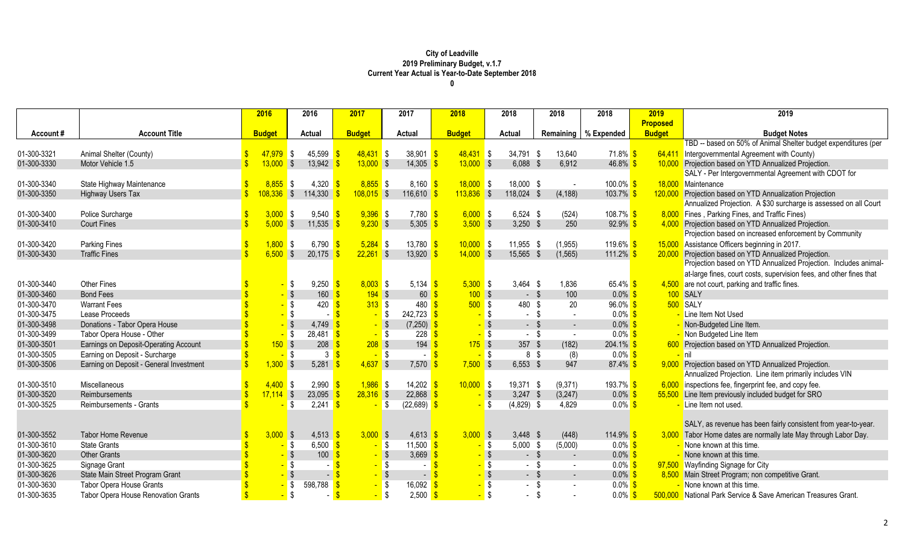|             |                                            | 2016          | 2016                                       | 2017              | 2017           | 2018          |                   | 2018          | 2018                   | 2018                   | 2019            | 2019                                                                |
|-------------|--------------------------------------------|---------------|--------------------------------------------|-------------------|----------------|---------------|-------------------|---------------|------------------------|------------------------|-----------------|---------------------------------------------------------------------|
|             |                                            |               |                                            |                   |                |               |                   |               |                        |                        | <b>Proposed</b> |                                                                     |
| Account#    | <b>Account Title</b>                       | <b>Budget</b> | <b>Actual</b>                              | <b>Budget</b>     | Actual         | <b>Budget</b> |                   | <b>Actual</b> |                        | Remaining   % Expended | <b>Budget</b>   | <b>Budget Notes</b>                                                 |
|             |                                            |               |                                            |                   |                |               |                   |               |                        |                        |                 | TBD -- based on 50% of Animal Shelter budget expenditures (per      |
| 01-300-3321 | Animal Shelter (County)                    | $47,979$ \$   | 45,599                                     | $48,431$ \$       | 38,901         | $48,431$ \$   |                   | 34,791 \$     | 13,640                 | 71.8% <mark>\$</mark>  |                 | 64,411 Intergovernmental Agreement with County)                     |
| 01-300-3330 | Motor Vehicle 1.5                          | 13,000        | 13,942<br>$\sqrt{3}$                       | $13,000$ \$       | 14,305         | $13,000$ \$   |                   | $6,088$ \$    | 6,912                  | 46.8% $$$              | 10,000          | Projection based on YTD Annualized Projection.                      |
|             |                                            |               |                                            |                   |                |               |                   |               |                        |                        |                 | SALY - Per Intergovernmental Agreement with CDOT for                |
| 01-300-3340 | State Highway Maintenance                  | $8,855$ \$    | 4,320                                      | $8,855$ \$        | 8,160          | $18,000$ \$   |                   | 18,000 \$     |                        | 100.0% \$              |                 | 18,000 Maintenance                                                  |
| 01-300-3350 | <b>Highway Users Tax</b>                   | $08,336$ \$   | 114,330                                    | $108,015$ \$      | 116,610        | $113,836$ \$  |                   | 118,024       | (4, 188)<br>$\sqrt{3}$ | $103.7\%$ \$           | 120,000         | Projection based on YTD Annualization Projection                    |
|             |                                            |               |                                            |                   |                |               |                   |               |                        |                        |                 | Annualized Projection. A \$30 surcharge is assessed on all Court    |
| 01-300-3400 | Police Surcharge                           | 3,000         | $9,540$ \$<br><b>S</b>                     | $9,396$ \$        | 7,780          | 6,000S        |                   | $6,524$ \$    | (524)                  | 108.7% \$              | 8,000           | Fines, Parking Fines, and Traffic Fines)                            |
| 01-300-3410 | <b>Court Fines</b>                         | $5,000$ \$    | 11,535                                     | $9,230$ \$        | 5,305          | $3,500$ \$    |                   | $3,250$ \$    | 250                    | $92.9\%$ \$            | 4,000           | Projection based on YTD Annualized Projection.                      |
|             |                                            |               |                                            |                   |                |               |                   |               |                        |                        |                 | Projection based on increased enforcement by Community              |
| 01-300-3420 | <b>Parking Fines</b>                       | $1,800$ \$    | 6,790 $\frac{\text{S}}{\text{S}}$          | $5,284$ \$        | 13,780         | $10,000$ \$   |                   | 11,955 \$     | (1, 955)               | 119.6% \$              | 15,000          | Assistance Officers beginning in 2017.                              |
| 01-300-3430 | <b>Traffic Fines</b>                       | $6,500$ \$    | 20,175                                     | $22,261$ \$       | 13,920         | $14,000$ \$   |                   | 15,565        | (1, 565)<br>-\$        | 111.2% $$$             | 20,000          | Projection based on YTD Annualized Projection.                      |
|             |                                            |               |                                            |                   |                |               |                   |               |                        |                        |                 | Projection based on YTD Annualized Projection. Includes animal-     |
|             |                                            |               |                                            |                   |                |               |                   |               |                        |                        |                 | at-large fines, court costs, supervision fees, and other fines that |
| 01-300-3440 | <b>Other Fines</b>                         |               | $9,250$ \$<br><b>S</b>                     | $8,003$ \$        | 5,134          | $5,300$ \$    |                   | $3,464$ \$    | 1,836                  | 65.4% $$$              |                 | 4,500 are not court, parking and traffic fines.                     |
| 01-300-3460 | <b>Bond Fees</b>                           |               | $\sqrt{3}$<br>160                          | $194$ \$          | 60             | 100S          |                   | $-$ \$        | 100                    | $0.0\%$ \$             |                 | 100 SALY                                                            |
| 01-300-3470 | <b>Warrant Fees</b>                        |               | l \$<br>420                                | 313S              | 480            | 500S          |                   | 480           | 20<br>- \$             | $96.0\%$ \$            |                 | 500 SALY                                                            |
| 01-300-3475 | Lease Proceeds                             |               | <mark>-</mark> \$                          | $-$ \$            | $242,723$ \$   |               | - \$              | $\sim$        | -\$<br>$\blacksquare$  | $0.0\%$ \$             |                 | Line Item Not Used                                                  |
| 01-300-3498 | Donations - Tabor Opera House              |               | 4,749                                      | $-$ \$            | $(7,250)$ \$   |               | - \$              | $-$ \$        | $\sim$                 | $0.0\%$ \$             |                 | - Non-Budgeted Line Item.                                           |
| 01-300-3499 | Tabor Opera House - Other                  |               | <mark>-</mark> \$<br>$28,481$ \$           | $-$ \$            | 228            |               | <mark>-</mark> \$ | $\sim$        | - \$<br>$\blacksquare$ | $0.0\%$ \$             |                 | - Non Budgeted Line Item                                            |
| 01-300-3501 | Earnings on Deposit-Operating Account      | 150S          | 208                                        | $208$ \$          | 194            |               | $175$ \$          | 357 $$$       | (182)                  | $204.1\%$ \$           |                 | 600 Projection based on YTD Annualized Projection.                  |
| 01-300-3505 | Earning on Deposit - Surcharge             |               | $-$ \$<br>3 <sup>8</sup>                   | $-$ \$            |                |               | $-$ \$            | 8 \$          | (8)                    | $0.0\%$ \$             |                 | <mark>– nil</mark>                                                  |
| 01-300-3506 | Earning on Deposit - General Investment    | $1,300$ \$    | 5,281                                      | $4,637$ \$        | 7,570          | $7,500$ \$    |                   | $6,553$ \$    | 947                    | $87.4\%$ \$            |                 | 9,000 Projection based on YTD Annualized Projection.                |
|             |                                            |               |                                            |                   |                |               |                   |               |                        |                        |                 | Annualized Projection. Line item primarily includes VIN             |
| 01-300-3510 | Miscellaneous                              | $4,400$ \$    | 2,990                                      | $1,986$ \$        | 14,202         | $10,000$ \$   |                   | 19,371 \$     | (9,371)                | 193.7% \$              |                 | $6,000$ inspections fee, fingerprint fee, and copy fee.             |
| 01-300-3520 | <b>Reimbursements</b>                      | $17,114$ \$   | 23,095                                     | $28,316$ \$       | 22,868         |               | $-$ \$            | $3,247$ \$    | (3,247)                | $0.0\%$ \$             |                 | 55,500 Line Item previously included budget for SRO                 |
| 01-300-3525 | Reimbursements - Grants                    |               | 2,241<br><b>S</b>                          | $-$ \$<br>l S     | (22, 689)      |               | <mark>-</mark> \$ | $(4,829)$ \$  | 4,829                  | $0.0\%$ \$             |                 | - Line Item not used.                                               |
|             |                                            |               |                                            |                   |                |               |                   |               |                        |                        |                 |                                                                     |
|             |                                            |               |                                            |                   |                |               |                   |               |                        |                        |                 | SALY, as revenue has been fairly consistent from year-to-year.      |
| 01-300-3552 | <b>Tabor Home Revenue</b>                  | $3,000$ \$    | $4,513$ \$                                 | $3,000$ \$        | 4,613          | $3,000$ \$    |                   | $3,448$ \$    | (448)                  | 114.9% $$$             |                 | 3,000 Tabor Home dates are normally late May through Labor Day.     |
| 01-300-3610 | <b>State Grants</b>                        |               | $6,500$ \$<br><mark>-</mark> \$            | $-$ \$            | 11,500         |               | <mark>-</mark> \$ | 5,000         | (5,000)<br>-\$         | $0.0\%$ \$             |                 | - None known at this time.                                          |
| 01-300-3620 | <b>Other Grants</b>                        |               | $-$ \$<br>100                              | $-$ \$            | 3,669          |               | $-$ \$            | $-$ \$        | $\sim$                 | $0.0\%$ \$             |                 | - None known at this time.                                          |
| 01-300-3625 | Signage Grant                              |               | S S                                        | <mark>-</mark> \$ |                |               | <mark>-</mark> \$ | $-$ \$        | $\sim$                 | $0.0\%$ \$             |                 | 97,500 Wayfinding Signage for City                                  |
| 01-300-3626 | State Main Street Program Grant            |               | $-$ \$                                     |                   | $\blacksquare$ |               | $-$ \$            | $-5$          | $\sim$                 | $0.0\%$ \$             |                 | 8,500 Main Street Program; non competitive Grant.                   |
| 01-300-3630 | <b>Tabor Opera House Grants</b>            |               | <mark>-</mark> \$<br>598,788 $\frac{1}{5}$ |                   | 16,092         |               | <mark>-</mark> \$ | $\sim$        | \$                     | $0.0\%$ \$             |                 | - None known at this time.                                          |
| 01-300-3635 | <b>Tabor Opera House Renovation Grants</b> |               | $-$ \$                                     | $-$ \$            | $2,500$ \$     |               | <mark>-</mark> \$ | $\sim$        | - \$                   | $0.0\%$ \$             |                 | 500,000 National Park Service & Save American Treasures Grant.      |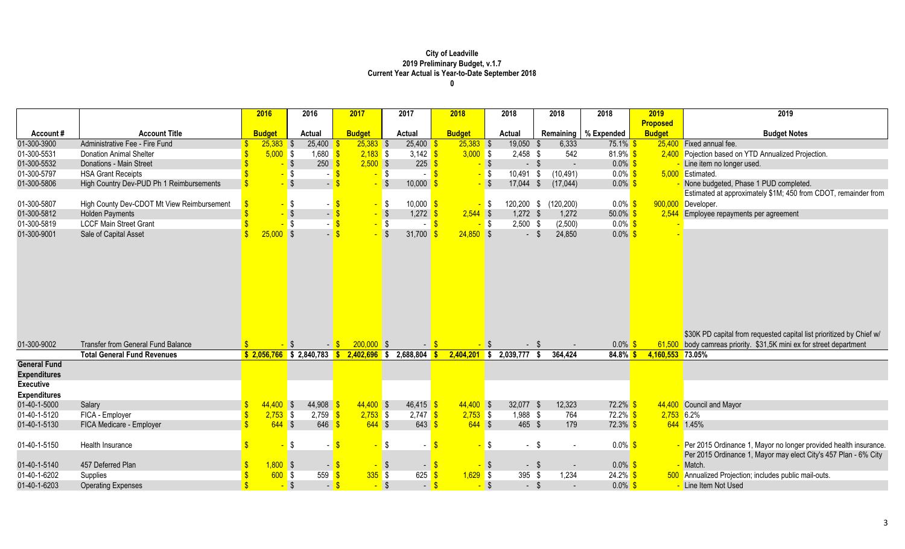|                     |                                            | 2016          | 2016                            | 2017          | 2017                     | 2018          | 2018                  | 2018                 | 2018                   | 2019             | 2019                                                                 |
|---------------------|--------------------------------------------|---------------|---------------------------------|---------------|--------------------------|---------------|-----------------------|----------------------|------------------------|------------------|----------------------------------------------------------------------|
|                     |                                            |               |                                 |               |                          |               |                       |                      |                        | <b>Proposed</b>  |                                                                      |
| Account#            | <b>Account Title</b>                       | <b>Budget</b> | <b>Actual</b>                   | <b>Budget</b> | <b>Actual</b>            | <b>Budget</b> | <b>Actual</b>         |                      | Remaining   % Expended | <b>Budget</b>    | <b>Budget Notes</b>                                                  |
| 01-300-3900         | Administrative Fee - Fire Fund             | $25,383$ \$   | 25,400                          | $25,383$ \$   | 25,400                   | $25,383$ \$   | 19,050                | 6,333                | $75.1\%$ \$            |                  | 25,400 Fixed annual fee.                                             |
| 01-300-5531         | <b>Donation Animal Shelter</b>             | $5,000$ \$    | $1,680$ \$                      | $2,183$ \$    | 3,142 $\frac{1}{5}$      | $3,000$ \$    | $2,458$ \$            | 542                  | $81.9\%$ \$            |                  | 2,400 Pojection based on YTD Annualized Projection.                  |
| 01-300-5532         | Donations - Main Street                    |               | 250<br>$-$ \$                   | $2,500$ \$    | 225                      |               | $-$ \$                | $-$ \$<br>$\sim$     | $0.0\%$ \$             |                  | Line item no longer used.                                            |
| 01-300-5797         | <b>HSA Grant Receipts</b>                  |               | $\sqrt{S}$<br>$-$ \$            | $-$ \$        | $-$ \$                   |               | $-$ \$<br>$10,491$ \$ | (10, 491)            | $0.0\%$ \$             |                  | 5,000 Estimated.                                                     |
| 01-300-5806         | High Country Dev-PUD Ph 1 Reimbursements   |               | $-$ \$<br>$-5$                  |               | 10,000                   |               | $-$ \$<br>$17,044$ \$ | (17, 044)            | $0.0\%$ \$             |                  | - None budgeted, Phase 1 PUD completed.                              |
|                     |                                            |               |                                 |               |                          |               |                       |                      |                        |                  | Estimated at approximately \$1M; 450 from CDOT, remainder from       |
| 01-300-5807         | High County Dev-CDOT Mt View Reimbursement |               | - \$<br>$-$ \$                  | $-$ \$        | $10,000$ \$              |               | <mark>-</mark> \$     | 120,200 \$ (120,200) | $0.0\%$ \$             |                  | 900,000 Developer.                                                   |
| 01-300-5812         | <b>Holden Payments</b>                     |               | $-$ \$<br>$-$ \$                | $-$ \$        | $1,272$ \$               | $2,544$ \$    | $1,272$ \$            | 1,272                | $50.0\%$ \$            |                  | 2,544 Employee repayments per agreement                              |
| 01-300-5819         | <b>LCCF Main Street Grant</b>              |               | $-$ \$<br>$-$ \$                | $-$ \$        | $-$ \$                   |               | $2,500$ \$<br>$-$ \$  | (2,500)              | $0.0\%$ \$             |                  |                                                                      |
| 01-300-9001         | Sale of Capital Asset                      | $25,000$ \$   | $-5$                            | $-$ \$        | 31,700                   | $24,850$ \$   |                       | 24,850<br>$-5$       | $0.0\%$ \$             |                  |                                                                      |
|                     |                                            |               |                                 |               |                          |               |                       |                      |                        |                  |                                                                      |
|                     |                                            |               |                                 |               |                          |               |                       |                      |                        |                  |                                                                      |
|                     |                                            |               |                                 |               |                          |               |                       |                      |                        |                  |                                                                      |
|                     |                                            |               |                                 |               |                          |               |                       |                      |                        |                  |                                                                      |
|                     |                                            |               |                                 |               |                          |               |                       |                      |                        |                  |                                                                      |
|                     |                                            |               |                                 |               |                          |               |                       |                      |                        |                  |                                                                      |
|                     |                                            |               |                                 |               |                          |               |                       |                      |                        |                  |                                                                      |
|                     |                                            |               |                                 |               |                          |               |                       |                      |                        |                  |                                                                      |
|                     |                                            |               |                                 |               |                          |               |                       |                      |                        |                  |                                                                      |
|                     |                                            |               |                                 |               |                          |               |                       |                      |                        |                  | \$30K PD capital from requested capital list prioritized by Chief w/ |
| 01-300-9002         | <b>Transfer from General Fund Balance</b>  |               |                                 | $200.000$ \$  |                          |               |                       |                      | 0.0%                   |                  | 61,500 body camreas priority. \$31,5K mini ex for street department  |
|                     | <b>Total General Fund Revenues</b>         |               | $$2,056,766$ \$ 2,840,783 \$    |               | $2,402,696$ \$ 2,688,804 | 2,404,201     | $2,039,777$ \$<br>SS. | 364,424              | 84.8%                  | 4,160,553 73.05% |                                                                      |
| <b>General Fund</b> |                                            |               |                                 |               |                          |               |                       |                      |                        |                  |                                                                      |
| <b>Expenditures</b> |                                            |               |                                 |               |                          |               |                       |                      |                        |                  |                                                                      |
| <b>Executive</b>    |                                            |               |                                 |               |                          |               |                       |                      |                        |                  |                                                                      |
| <b>Expenditures</b> |                                            |               |                                 |               |                          |               |                       |                      |                        |                  |                                                                      |
| 01-40-1-5000        | Salary                                     | $44,400$ \$   | 44,908                          | $44,400$ \$   | $46,415$ \$              | $44,400$ \$   | 32,077 \$             | 12,323               | $72.2\%$ \$            |                  | 44,400 Council and Mayor                                             |
| 01-40-1-5120        | FICA - Employer                            | $2,753$ \$    | 2,759                           | $2,753$ \$    | $2,747$ \$               | $2,753$ \$    | 1,988 \$              | 764                  | $72.2\%$ \$            | $2,753$ 6.2%     |                                                                      |
| 01-40-1-5130        | FICA Medicare - Employer                   | $644$ \$      | $646$ \$                        | $644$ \$      | $643 \; 5$               | $644$ \$      |                       | 179<br>465 \$        | $72.3\%$ \$            |                  | 644 1.45%                                                            |
|                     |                                            |               |                                 |               |                          |               |                       |                      |                        |                  |                                                                      |
| 01-40-1-5150        | Health Insurance                           |               | \$                              | $\mathbf{R}$  | \$                       |               | <b>\$</b>             | $-$ \$               | $0.0\%$ \$             |                  | - Per 2015 Ordinance 1, Mayor no longer provided health insurance.   |
|                     |                                            |               |                                 |               |                          |               |                       |                      |                        |                  | Per 2015 Ordinance 1, Mayor may elect City's 457 Plan - 6% City      |
| 01-40-1-5140        | 457 Deferred Plan                          | $1,800$ \$    | $-5$                            | $-$ \$        | - 5                      |               | $-$ \$                | $-$ \$<br>$\sim$     | $0.0\%$ \$             |                  | Match.                                                               |
| 01-40-1-6202        | Supplies                                   | $600$ \$      | $559$ $\frac{\text{}}{\text{}}$ | $335$ \$      | 625 $$$                  | $1,629$ \$    |                       | 395 $$$<br>1,234     | $24.2\%$ \$            |                  | 500 Annualized Projection; includes public mail-outs.                |
| 01-40-1-6203        | <b>Operating Expenses</b>                  |               | $-$ \$<br>$-$ \$                | $-$ \$        | $-$ \$                   |               | $-$ \$                | - \$<br>$\sim$       | $0.0\%$ \$             |                  | Line Item Not Used                                                   |
|                     |                                            |               |                                 |               |                          |               |                       |                      |                        |                  |                                                                      |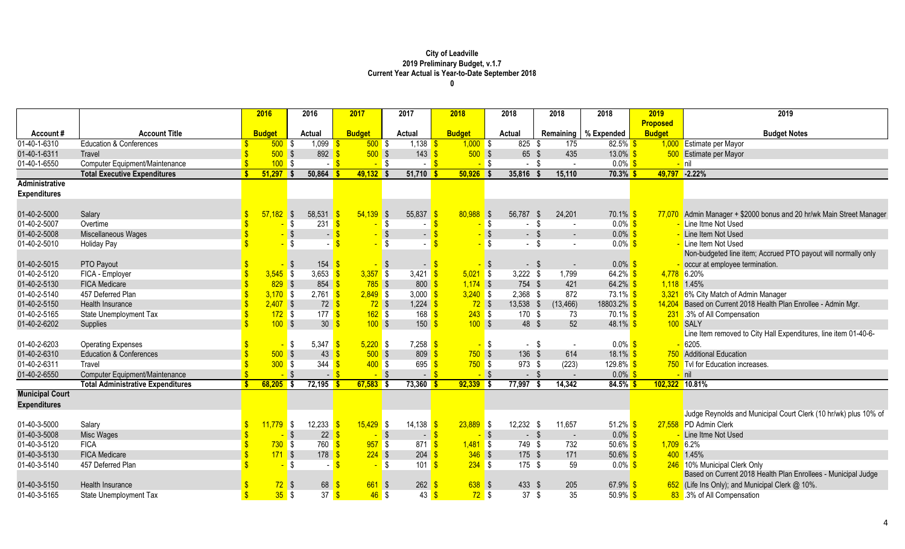|                           |                                          | 2016          | 2016                                   | 2017             | 2017                                  | 2018          |                   | 2018            | 2018                 | 2018                   | 2019            | 2019                                                            |
|---------------------------|------------------------------------------|---------------|----------------------------------------|------------------|---------------------------------------|---------------|-------------------|-----------------|----------------------|------------------------|-----------------|-----------------------------------------------------------------|
|                           |                                          |               |                                        |                  |                                       |               |                   |                 |                      |                        | <b>Proposed</b> |                                                                 |
| Account#                  | <b>Account Title</b>                     | <b>Budget</b> | <b>Actual</b>                          | <b>Budget</b>    | <b>Actual</b>                         | <b>Budget</b> |                   | <b>Actual</b>   |                      | Remaining   % Expended | <b>Budget</b>   | <b>Budget Notes</b>                                             |
| $\overline{01-40-1-6310}$ | <b>Education &amp; Conferences</b>       | $500$ \$      | 1,099                                  | $500$ \$         | $1,138$ \$                            | $1,000$ \$    |                   | $825$ \$        | 175                  | $82.5\%$ \$            |                 | 1,000 Estimate per Mayor                                        |
| 01-40-1-6311              | Travel                                   | $500$ \$      | $892$ $\sqrt{\frac{6}{5}}$             | $500$ \$         | 143                                   | $500$ \$      |                   | 65 \$           | 435                  | $13.0\%$ \$            |                 | 500 Estimate per Mayor                                          |
| 01-40-1-6550              | Computer Equipment/Maintenance           | 100S          | $-$ \$                                 | $-$ \$           | $\sim$                                |               | <mark>.</mark> \$ | -\$<br>$\sim$   |                      | $0.0\%$ \$             |                 | <mark>– nil</mark>                                              |
|                           | <b>Total Executive Expenditures</b>      | 51,297        | 50,864<br>∣S                           | $49,132$ \$      | 51,710                                | $50,926$ \$   |                   | 35,816          | 15,110               | $70.3\%$ \$            | 49,797          | $-2.22%$                                                        |
| <b>Administrative</b>     |                                          |               |                                        |                  |                                       |               |                   |                 |                      |                        |                 |                                                                 |
| <b>Expenditures</b>       |                                          |               |                                        |                  |                                       |               |                   |                 |                      |                        |                 |                                                                 |
|                           |                                          |               |                                        |                  |                                       |               |                   |                 |                      |                        |                 |                                                                 |
| 01-40-2-5000              | Salary                                   | $57,182$ \$   | 58,531                                 | $54,139$ \$      | 55,837                                | $80,988$ \$   |                   | 56,787          | 24,201<br>- \$       | $70.1\%$ \$            | 77,070          | Admin Manager + \$2000 bonus and 20 hr/wk Main Street Manager   |
| 01-40-2-5007              | Overtime                                 |               | $231$ $\sqrt{\frac{6}{5}}$<br><b>S</b> |                  | S S                                   |               | <mark>-</mark> \$ | -\$<br>$\sim$   |                      | $0.0\%$ \$             |                 | Line Itme Not Used                                              |
| 01-40-2-5008              | Miscellaneous Wages                      |               | $-$ \$<br>$\blacksquare$               |                  | $\sqrt{3}$<br>$\sim$ .                |               | $-$ \$            | $-$ \$          | $\sim$               | $0.0\%$ \$             |                 | Line Item Not Used                                              |
| 01-40-2-5010              | <b>Holiday Pay</b>                       |               | $\sqrt{s}$                             |                  | $\sqrt{3}$                            |               | $-$ \$            | $-$ \$          |                      | $0.0\%$ \$             |                 | Line Item Not Used                                              |
|                           |                                          |               |                                        |                  |                                       |               |                   |                 |                      |                        |                 | Non-budgeted line item; Accrued PTO payout will normally only   |
| 01-40-2-5015              | PTO Payout                               |               | $154$ $\sqrt{\$}$<br>- \$              |                  | $\sqrt{3}$                            | $-$ \$        | - \$              | $-5$            |                      | $0.0\%$ \$             |                 | occur at employee termination.                                  |
| 01-40-2-5120              | FICA - Employer                          | $3,545$ \$    | 3,653 $\frac{1}{5}$                    | $3,357$ \$       | 3,421 $\frac{1}{5}$                   | $5,021$ \$    |                   | $3,222$ \$      | 1,799                | 64.2% \$               |                 | 4,778 6.20%                                                     |
| 01-40-2-5130              | <b>FICA Medicare</b>                     | 829S          | 854                                    | $785$ \$         | $800 \frac{\text{S}}{\text{S}}$       | $1,174$ \$    |                   | 754 \$          | 421                  | $64.2\%$ \$            |                 | $1,118$ 1.45%                                                   |
| 01-40-2-5140              | 457 Deferred Plan                        | $3,170$ \$    | $2,761$ \$                             | $2,849$ \$       | 3,000 $\frac{\text{S}}{\text{S}}$     | $3,240$ \$    |                   | 2,368 \$        | 872                  | 73.1% \$               | 3,321           | 6% City Match of Admin Manager                                  |
| 01-40-2-5150              | Health Insurance                         | $2,407$ \$    | $72 \overline{\text{S}}$               | $72$ \$          | $1,224$ \$                            | $72$ \$       |                   | 13,538 \$       | (13, 466)            | 18803.2% <sup>S</sup>  | 14,204          | Based on Current 2018 Health Plan Enrollee - Admin Mgr.         |
| 01-40-2-5165              | State Unemployment Tax                   | $172$ \$      | 177 <sup>o</sup>                       | $162$ \$         | 168                                   | $243$ \$      |                   | 170 \$          | 73                   | $70.1\%$ \$            |                 | 231 .3% of All Compensation                                     |
| 01-40-2-6202              | Supplies                                 | 100S          | $30 \overline{\smash{\big)}\,}$        | 100S             | 150                                   | $100$ \$      |                   | 48 \$           | 52                   | $48.1\%$ \$            |                 | 100 SALY                                                        |
|                           |                                          |               |                                        |                  |                                       |               |                   |                 |                      |                        |                 | Line Item removed to City Hall Expenditures, line item 01-40-6- |
| 01-40-2-6203              | <b>Operating Expenses</b>                |               | 5,347 \$<br><b>S</b>                   | $5,220$ \$       | 7,258                                 |               | <mark>-</mark> \$ | $-$ \$          | $\sim$               | $0.0\%$ \$             |                 | 6205.                                                           |
| 01-40-2-6310              | <b>Education &amp; Conferences</b>       | $500$ \$      | $43 \overline{\text{S}}$               | $500$ \$         | 809 <sup>°</sup>                      | $750$ \$      |                   | 136             | 614<br>$\sqrt[6]{3}$ | $18.1\%$ \$            |                 | 750 Additional Education                                        |
| 01-40-2-6311              | Travel                                   | $300$ \$      | 344                                    | 400S<br>-\$      | 695                                   | $750$ \$      |                   | 973             | (223)<br>\$          | $129.8\%$ \$           |                 | 750 Tvl for Education increases.                                |
| 01-40-2-6550              | Computer Equipment/Maintenance           |               | $-$ \$<br>$-$ \$                       | $-$ \$           | $\sim$ 1                              |               | $-$ \$            | $-$ \$          | $\sim$               | $0.0\%$ \$             |                 | <mark>-</mark> nil                                              |
|                           | <b>Total Administrative Expenditures</b> | 68,205        | 72,195<br> \$                          | $67,583$ \$      | 73,360                                | $92,339$ \$   |                   | 77,997          | 14,342               | $84.5\%$ \$            |                 | 102,322 10.81%                                                  |
| <b>Municipal Court</b>    |                                          |               |                                        |                  |                                       |               |                   |                 |                      |                        |                 |                                                                 |
| <b>Expenditures</b>       |                                          |               |                                        |                  |                                       |               |                   |                 |                      |                        |                 |                                                                 |
|                           |                                          |               |                                        |                  |                                       |               |                   |                 |                      |                        |                 | Judge Reynolds and Municipal Court Clerk (10 hr/wk) plus 10% of |
| 01-40-3-5000              | Salary                                   | $11,779$ \$   | $12,233$ $\frac{\$}{\$}$               | $15,429$ \$      | 14,138                                | $23,889$ \$   |                   | 12,232 \$       | 11,657               | 51.2% $$$              |                 | 27,558 PD Admin Clerk                                           |
| 01-40-3-5008              | Misc Wages                               |               | - \$<br>$22 \overline{\text{S}}$       | $-$ \$           |                                       | $ S$          | $-$ \$            | $-$ \$          | $\blacksquare$       | $0.0\%$ \$             |                 | Line Itme Not Used                                              |
| 01-40-3-5120              | <b>FICA</b>                              | $730$ \$      | $760$ \$                               | $957$ \$         | $871 \; 3$                            | $1,481$ \$    |                   | 749 \$          | 732                  | 50.6% \$               | $1,709$ 6.2%    |                                                                 |
| 01-40-3-5130              | <b>FICA Medicare</b>                     | $171$ \$      | 178 <sup>o</sup>                       | $224$ \$         | $204 \frac{\text{S}}{20}$             | $346$ \$      |                   | 175 \$          | 171                  | $50.6\%$ \$            |                 | 400 1.45%                                                       |
| 01-40-3-5140              | 457 Deferred Plan                        |               | \$                                     |                  | 101<br>$\sqrt{3}$                     | $234$ \$      |                   | 175 \$          | 59                   | $0.0\%$ \$             |                 | 246 10% Municipal Clerk Only                                    |
|                           |                                          |               |                                        |                  |                                       |               |                   |                 |                      |                        |                 | Based on Current 2018 Health Plan Enrollees - Municipal Judge   |
| 01-40-3-5150              | Health Insurance                         | $72$ \$       | 68                                     | $661$ \$         | $262 \overline{\text{S}}$             | $638$ \$      |                   | 433 \$          | 205                  | 67.9% \$               |                 | 652 (Life Ins Only); and Municipal Clerk @ 10%.                 |
| 01-40-3-5165              | State Unemployment Tax                   | 35S           | 37 <sup>8</sup>                        | $46 \text{ }$ \$ | $43 \overline{\text{}}\sqrt{\text{}}$ | $72$ \$       |                   | 37 <sup>5</sup> | 35                   | 50.9% \$               |                 | 83 .3% of All Compensation                                      |
|                           |                                          |               |                                        |                  |                                       |               |                   |                 |                      |                        |                 |                                                                 |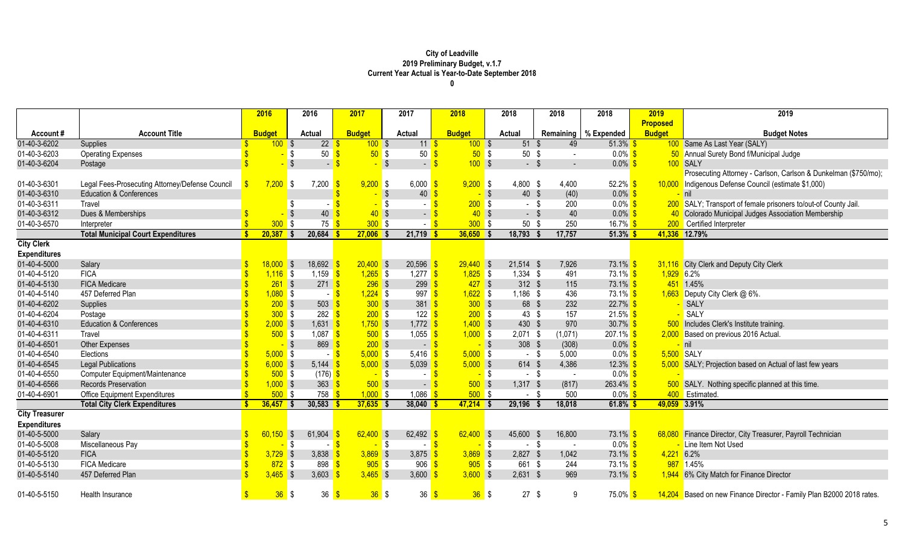|                       |                                                 | 2016          |                         | 2016                              | 2017              | 2017           |                          | 2018              |          | 2018             | 2018           | 2018                   | 2019            | 2019                                                                 |
|-----------------------|-------------------------------------------------|---------------|-------------------------|-----------------------------------|-------------------|----------------|--------------------------|-------------------|----------|------------------|----------------|------------------------|-----------------|----------------------------------------------------------------------|
|                       |                                                 |               |                         |                                   |                   |                |                          |                   |          |                  |                |                        | <b>Proposed</b> |                                                                      |
| <b>Account #</b>      | <b>Account Title</b>                            | <b>Budget</b> |                         | <b>Actual</b>                     | <b>Budget</b>     | <b>Actual</b>  |                          | <b>Budget</b>     |          | Actual           |                | Remaining   % Expended | <b>Budget</b>   | <b>Budget Notes</b>                                                  |
| 01-40-3-6202          | Supplies                                        |               | 100S                    | 22                                | 100S              |                | $11 \overline{\text{S}}$ | $100$ \$          |          | $51 \text{ }$ \$ | 49             | $51.3\%$ \$            |                 | 100 Same As Last Year (SALY)                                         |
| 01-40-3-6203          | <b>Operating Expenses</b>                       |               |                         | 50<br>\$                          | $50°$ \$          |                | 50                       | $50°$ \$          |          | 50 <sup>°</sup>  | $\sim$         | $0.0\%$ \$             |                 | 50 Annual Surety Bond f/Municipal Judge                              |
| 01-40-3-6204          | Postage                                         |               | \$                      | 47                                |                   | $\sqrt{S}$     | $\blacksquare$           | 100S              |          | $-$ \$           | $\sim$         | $0.0\%$                |                 | 100 SALY                                                             |
|                       |                                                 |               |                         |                                   |                   |                |                          |                   |          |                  |                |                        |                 | Prosecuting Attorney - Carlson, Carlson & Dunkelman (\$750/mo);      |
| 01-40-3-6301          | Legal Fees-Prosecuting Attorney/Defense Council | 7,200         | <b>S</b>                | 7,200                             | $9,200$ \$        |                | $6,000$ \$               | $9,200$ \$        |          | 4,800 \$         | 4,400          | $52.2\%$ \$            |                 | 10,000 Indigenous Defense Council (estimate \$1,000)                 |
| 01-40-3-6310          | <b>Education &amp; Conferences</b>              |               |                         |                                   |                   | -\$            | 40                       | $-$ \$            |          | $40 \text{ } $$  | (40)           | $0.0\%$ \$             |                 | $-$ nil                                                              |
| 01-40-3-6311          | Travel                                          |               | S                       |                                   |                   | -\$            |                          | $200$ \$          |          | - \$             | 200            | $0.0\%$ \$             |                 | 200 SALY; Transport of female prisoners to/out-of County Jail.       |
| 01-40-3-6312          | Dues & Memberships                              |               |                         | 40                                | $40 \text{ }$ \$  |                | $\sim$ $\sim$            | 40S               |          | - \$             | 40             | $0.0\%$ \$             |                 | 40 Colorado Municipal Judges Association Membership                  |
| 01-40-3-6570          | Interpreter                                     |               | 300 <sub>2</sub><br>-\$ | 75                                | 300S              |                |                          | $300$ \$          |          | 50 <sup>°</sup>  | 250            | 16.7% \$               |                 | 200 Certified Interpreter                                            |
|                       | <b>Total Municipal Court Expenditures</b>       | $20,387$ \$   |                         | 20,684                            | $27,006$ \$       |                | $21,719$ \$              | $36,650$ \$       |          | 18,793 \$        | 17,757         | $51.3\%$               |                 | 41,336 12.79%                                                        |
| <b>City Clerk</b>     |                                                 |               |                         |                                   |                   |                |                          |                   |          |                  |                |                        |                 |                                                                      |
| <b>Expenditures</b>   |                                                 |               |                         |                                   |                   |                |                          |                   |          |                  |                |                        |                 |                                                                      |
| 01-40-4-5000          | Salary                                          | $18,000$ \$   |                         | 18,692                            | $20,400$ \$       |                | 20,596                   | $29,440$ \$       |          | $21,514$ \$      | 7,926          | 73.1% \$               |                 | 31,116 City Clerk and Deputy City Clerk                              |
| 01-40-4-5120          | <b>FICA</b>                                     |               | $1,116$ \$              | 1,159                             | $1,265$ \$        |                | 1,277 $\sqrt{s}$         | $1,825$ \$        |          | $1,334$ \$       | 491            | 73.1% <sup>S</sup>     | $1,929$ 6.2%    |                                                                      |
| 01-40-4-5130          | <b>FICA Medicare</b>                            |               | $261$ \$                | $271$ \$                          | $296$ \$          |                | $299$ \$                 | $427$ \$          |          | $312$ \$         | 115            | 73.1% <sup>S</sup>     |                 | 451 1.45%                                                            |
| 01-40-4-5140          | 457 Deferred Plan                               |               | $1,080$ \$              | - <mark>S</mark>                  | $1,224$ \$        |                | $997$ \$                 | $1,622$ \$        |          | $1,186$ \$       | 436            | 73.1% <sup>S</sup>     |                 | 1,663 Deputy City Clerk @ 6%.                                        |
| 01-40-4-6202          | Supplies                                        |               | 200S                    | 503                               | $300$ \$          |                | $381$ \$                 | 300S              |          | 68 \$            | 232            | $22.7\%$ \$            |                 | SALY                                                                 |
| 01-40-4-6204          | Postage                                         |               | 300S                    | $282 \overline{\text{S}}$         | $200$ \$          |                | 122 $\sqrt{3}$           | $200$ \$          |          | $43 \text{ } $$  | 157            | $21.5\%$ \$            |                 | SALY                                                                 |
| 01-40-4-6310          | <b>Education &amp; Conferences</b>              |               | $2,000$ \$              | $1,631$ \$                        | $1,750$ \$        |                | $1,772$ \$               | $1,400$ \$        |          | 430 \$           | 970            | $30.7\%$ \$            |                 | 500 Includes Clerk's Institute training.                             |
| 01-40-4-6311          | Travel                                          |               | $500$ \$                | $1,087$ \$                        | $500$ \$          |                | 1,055 $\frac{1}{3}$      | $1,000$ \$        |          | $2,071$ \$       | (1,071)        | $207.1\%$ \$           |                 | 2,000 Based on previous 2016 Actual.                                 |
| 01-40-4-6501          | <b>Other Expenses</b>                           |               | $\sqrt{3}$              | 869                               | $200$ \$          |                | - 5                      | $-$ \$            |          | $308$ \$         | (308)          | $0.0\%$ \$             |                 | <mark>- nil</mark>                                                   |
| 01-40-4-6540          | Elections                                       |               | $5,000$ \$              | $-$ \$                            | $5,000$ \$        |                | 5,416 \$                 | $5,000$ \$        |          | $-$ \$           | 5,000          | $0.0\%$ \$             | 5,500 SALY      |                                                                      |
| 01-40-4-6545          | <b>Legal Publications</b>                       |               | $6,000$ \$              | 5,144 $\frac{1}{5}$               | $5,000$ \$        |                | $5,039$ \$               | $5,000$ \$        |          | 614 \$           | 4,386          | $12.3\%$ \$            |                 | 5,000 SALY; Projection based on Actual of last few years             |
| 01-40-4-6550          | Computer Equipment/Maintenance                  |               | $500$ \$                | $(176)$ \$                        | <mark>-</mark> \$ |                | $\sim$ 1                 | <mark>-</mark> \$ |          | $-$ \$           | $\sim$         | $0.0\%$ \$             |                 |                                                                      |
| 01-40-4-6566          | Records Preservation                            |               | $1,000$ \$              | $363$ $\frac{\text{}}{\text{}}$   | $500$ \$          |                | - 8                      | $500$ \$          |          | $1,317$ \$       | (817)          | $263.4\%$ \$           |                 | 500 SALY. Nothing specific planned at this time.                     |
| 01-40-4-6901          | <b>Office Equipment Expenditures</b>            |               | 500S                    | $758$ $\frac{\text{S}}{\text{S}}$ | $1,000$ \$        |                | 1,086 $$$                | $500$ \$          |          | - \$             | 500            | $0.0\%$ \$             |                 | 400 Estimated.                                                       |
|                       | <b>Total City Clerk Expenditures</b>            | $36,457$ \$   |                         | $30,583$ \$                       | $37,635$ \$       |                | 38,040                   | $47,214$ \$       |          | 29,196 \$        | 18,018         | $61.8\%$               | 49,059 3.91%    |                                                                      |
| <b>City Treasurer</b> |                                                 |               |                         |                                   |                   |                |                          |                   |          |                  |                |                        |                 |                                                                      |
| <b>Expenditures</b>   |                                                 |               |                         |                                   |                   |                |                          |                   |          |                  |                |                        |                 |                                                                      |
| 01-40-5-5000          | Salary                                          | 60.150        | S S                     | 61,904                            | $62,400$ \$       |                | 62,492                   | $62,400$ \$       |          | 45,600           | 16,800<br>- \$ | 73.1% <sup>S</sup>     |                 | 68,080 Finance Director, City Treasurer, Payroll Technician          |
| 01-40-5-5008          | Miscellaneous Pay                               |               | \$                      |                                   | ÷.                | $\blacksquare$ | $ \sqrt{s}$              | $\sim$            | <b>S</b> | $-$ \$           | $\sim$         | $0.0\%$ \$             |                 | Line Item Not Used                                                   |
| 01-40-5-5120          | <b>FICA</b>                                     |               | $3,729$ \$              | 3.838                             | $3,869$ \$        |                | 3,875 \$                 | $3,869$ \$        |          | $2,827$ \$       | 1,042          | 73.1% <sup>S</sup>     | $4,221$ 6.2%    |                                                                      |
| 01-40-5-5130          | <b>FICA Medicare</b>                            |               | $872$ \$                | 898                               | $905$ \$          |                | 906 $\sqrt{3}$           | $905$ \$          |          | 661 \$           | 244            | 73.1% <sup>S</sup>     |                 | 987 1.45%                                                            |
| 01-40-5-5140          | 457 Deferred Plan                               |               | $3,465$ \$              | 3,603                             | $3,465$ \$        |                | $3,600$ \$               | $3,600$ \$        |          | $2,631$ \$       | 969            | $73.1\%$ \$            |                 | 1,944 6% City Match for Finance Director                             |
| 01-40-5-5150          | Health Insurance                                |               | $36$ \$                 | 36                                | $36$ \$           |                | 36 <sup>8</sup>          | 36S               |          | $27 \quad$       | -9             | $75.0\%$ \$            |                 | 14,204 Based on new Finance Director - Family Plan B2000 2018 rates. |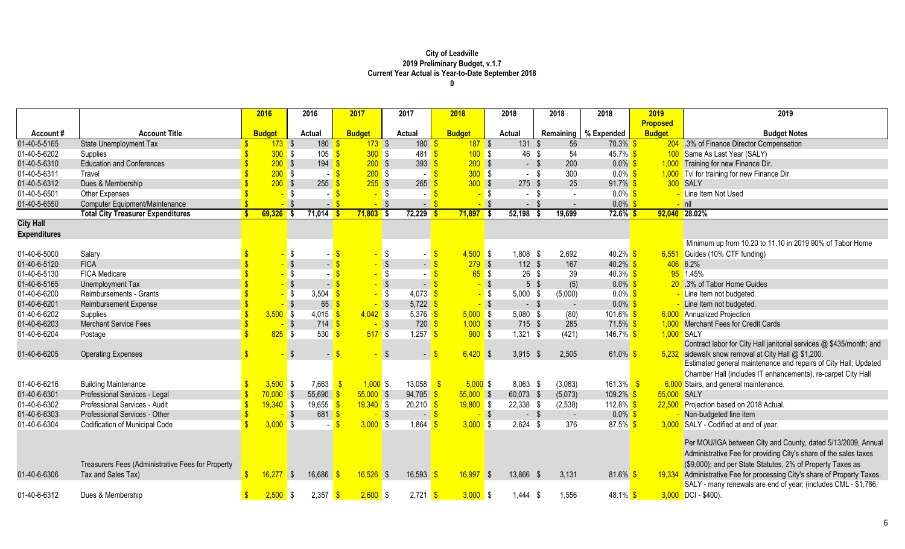|                     |                                                   | 2016          | 2016                                | 2017                     | 2017                         | 2018                     | 2018                   | 2018                  | 2018                   | 2019            | 2019                                                                                                                                                                                           |
|---------------------|---------------------------------------------------|---------------|-------------------------------------|--------------------------|------------------------------|--------------------------|------------------------|-----------------------|------------------------|-----------------|------------------------------------------------------------------------------------------------------------------------------------------------------------------------------------------------|
|                     |                                                   |               |                                     |                          |                              |                          |                        |                       |                        | <b>Proposed</b> |                                                                                                                                                                                                |
| Account#            | <b>Account Title</b>                              | <b>Budget</b> | <b>Actual</b>                       | <b>Budget</b>            | <b>Actual</b>                | <b>Budget</b>            | <b>Actual</b>          |                       | Remaining   % Expended | <b>Budget</b>   | <b>Budget Notes</b>                                                                                                                                                                            |
| 01-40-5-5165        | <b>State Unemployment Tax</b>                     | $173$ \$      | 180                                 | $173$ \$                 | 180                          | $187$ \$                 | 131S                   | 56                    | $70.3\%$ \$            |                 | 204 .3% of Finance Director Compensation                                                                                                                                                       |
| 01-40-5-6202        | Supplies                                          | $300$ \$      | 105                                 | 300S                     | $481$ \$                     | 100S                     | 46 \$                  | 54                    | $45.7\%$ \$            |                 | 100 Same As Last Year (SALY)                                                                                                                                                                   |
| 01-40-5-6310        | <b>Education and Conferences</b>                  | $200$ \$      | $194$ \$                            | $200$ \$                 | 393                          | $200$ \$                 |                        | 200<br>$-$ \$         | $0.0\%$ \$             |                 | 1,000 Training for new Finance Dir.                                                                                                                                                            |
| 01-40-5-6311        | Travel                                            | 200S          |                                     | $200$ \$<br>- \$         | $\sim$                       | 300S                     |                        | 300<br>- \$           | $0.0\%$ \$             |                 | 1,000 Tvl for training for new Finance Dir.                                                                                                                                                    |
| 01-40-5-6312        | Dues & Membership                                 | $200$ \$      | 255                                 | 255S                     | 265                          | $300$ \$                 | $275$ \$               | 25                    | $91.7\%$ \$            |                 | 300 SALY                                                                                                                                                                                       |
| 01-40-5-6501        | <b>Other Expenses</b>                             |               | $-$ \$                              | <mark>-</mark> \$        | $\sim$                       |                          | $-$ \$                 | $-$ \$<br>$\sim$      | $0.0\%$ \$             |                 | - Line Item Not Used                                                                                                                                                                           |
| 01-40-5-6550        | Computer Equipment/Maintenance                    |               | $-$ \$<br>$\sim$                    | $-$ \$                   |                              | $-$ \$                   | $\sqrt{3}$             | $-$ \$                | $0.0\%$ \$             |                 | <mark>-</mark> nil                                                                                                                                                                             |
|                     | <b>Total City Treasurer Expenditures</b>          | $69,326$ \$   | 71,014                              | $71,803$ \$              | 72,229                       | 71,897                   | 52,198<br>l \$         | 19,699                | 72.6% S                |                 | 92,040 28.02%                                                                                                                                                                                  |
| <b>City Hall</b>    |                                                   |               |                                     |                          |                              |                          |                        |                       |                        |                 |                                                                                                                                                                                                |
| <b>Expenditures</b> |                                                   |               |                                     |                          |                              |                          |                        |                       |                        |                 |                                                                                                                                                                                                |
|                     |                                                   |               |                                     |                          |                              |                          |                        |                       |                        |                 | Minimum up from 10.20 to 11.10 in 2019 90% of Tabor Home                                                                                                                                       |
| 01-40-6-5000        | Salary                                            |               | $\sqrt{3}$                          |                          | - \$                         | $4,500$ \$               | 1,808 \$               | 2,692                 | $40.2\%$ \$            |                 | 6,551 Guides (10% CTF funding)                                                                                                                                                                 |
| 01-40-6-5120        | <b>FICA</b>                                       |               | <mark>.</mark> \$<br>$\blacksquare$ |                          | $\sqrt{3}$<br>$\overline{a}$ | $279$ \$                 | $112$ \$               | 167                   | $40.2\%$               |                 | 406 6.2%                                                                                                                                                                                       |
| 01-40-6-5130        | <b>FICA Medicare</b>                              |               | $-$ \$                              |                          | <b>S</b>                     | 65S                      | $26 \quad $$           | 39                    | $40.3\%$ \$            |                 | 95 1.45%                                                                                                                                                                                       |
| 01-40-6-5165        | Unemployment Tax                                  |               | -   \$<br>$\overline{\phantom{0}}$  | $-$ \$                   | $\blacksquare$               |                          | $-$ \$                 | (5)<br>5 <sup>5</sup> | $0.0\%$ \$             |                 | 20 .3% of Tabor Home Guides                                                                                                                                                                    |
| 01-40-6-6200        | Reimbursements - Grants                           |               | - \$<br>3,504                       | $-$ \$                   | 4,073                        |                          | 5,000<br><b>S</b>      | -\$<br>(5,000)        | $0.0\%$ \$             |                 | - Line Item not budgeted.                                                                                                                                                                      |
| 01-40-6-6201        | <b>Reimbursement Expense</b>                      |               | $-$ \$<br>$65 \frac{9}{5}$          | $-$ \$                   | $5,722$ \$                   |                          | $\sqrt{3}$             | $-$ \$<br>$\sim$      | $0.0\%$                |                 | Line Item not budgeted.                                                                                                                                                                        |
| 01-40-6-6202        | Supplies                                          | $3,500$ \$    | $4,015$ \$                          | $4,042$ \$               | 5,376                        | $5,000$ \$               | $5,080$ \$             | (80)                  | $101.6\%$              |                 | 6,000 Annualized Projection                                                                                                                                                                    |
| 01-40-6-6203        | <b>Merchant Service Fees</b>                      |               | $714$ \$<br>- \$                    | $-$ \$                   | $720$ \$                     | $1,000$ \$               | 715 \$                 | 285                   | $71.5\%$ \$            |                 | 1,000 Merchant Fees for Credit Cards                                                                                                                                                           |
| 01-40-6-6204        | Postage                                           | $825$ \$      | 530                                 | 517S                     | 1,257 $\frac{1}{5}$          | 900S                     | $1,321$ \$             | (421)                 | 146.7% \$              | 1,000 SALY      |                                                                                                                                                                                                |
|                     |                                                   |               |                                     |                          |                              |                          |                        |                       |                        |                 | Contract labor for City Hall janitorial services @ \$435/month; and                                                                                                                            |
| 01-40-6-6205        | <b>Operating Expenses</b>                         |               | -\$<br>$\blacksquare$               |                          | $\sim$                       | $6,420$ \$               | $3,915$ \$             | 2,505                 | 61.0% \$               |                 | 5,232 sidewalk snow removal at City Hall @ \$1,200.                                                                                                                                            |
|                     |                                                   |               |                                     |                          |                              |                          |                        |                       |                        |                 | Estimated general maintenance and repairs of City Hall; Updated                                                                                                                                |
|                     |                                                   |               |                                     |                          |                              |                          |                        |                       |                        |                 | Chamber Hall (includes IT enhancements), re-carpet City Hall                                                                                                                                   |
| 01-40-6-6216        | <b>Building Maintenance</b>                       | $3,500$ \$    | 7,663                               | $1,000$ \$<br>$\sqrt{3}$ | 13,058                       | $5,000$ \$<br>$\sqrt{3}$ | $8,063$ \$             | (3,063)               | 161.3%                 |                 | 6,000 Stairs, and general maintenance.                                                                                                                                                         |
| 01-40-6-6301        | Professional Services - Legal                     | $70,000$ \$   | 55,690                              | $55,000$ \$              | 94,705                       | $55,000$ \$              | 60,073 \$              | (5,073)               | 109.2% <sup>S</sup>    | 55,000 SALY     |                                                                                                                                                                                                |
| 01-40-6-6302        | Professional Services - Audit                     | $19,340$ \$   | 19,655 $\frac{\text{S}}{\text{S}}$  | $19,340$ \$              | $20,210$ \$                  | $19,800$ \$              | 22,338 \$              | (2,538)               | 112.8% \$              |                 | 22,500 Projection based on 2018 Actual.                                                                                                                                                        |
| 01-40-6-6303        | Professional Services - Other                     |               | $681$ \$<br>- \$                    | $-$ \$                   |                              | - <b>S</b>               | $\sqrt{3}$             | $-5$<br>$\sim$        | $0.0\%$ \$             |                 | Non-budgeted line item                                                                                                                                                                         |
| 01-40-6-6304        | <b>Codification of Municipal Code</b>             | $3,000$ \$    |                                     | $3,000$ \$               | 1,864                        | 3,000                    | <b>S</b><br>$2,624$ \$ | 376                   | 87.5% $$$              |                 | 3,000 SALY - Codified at end of year.                                                                                                                                                          |
|                     | Treasurers Fees (Administrative Fees for Property |               |                                     |                          |                              |                          |                        |                       |                        |                 | Per MOU/IGA between City and County, dated 5/13/2009, Annual<br>Administrative Fee for providing City's share of the sales taxes<br>(\$9,000); and per State Statutes, 2% of Property Taxes as |
| 01-40-6-6306        | Tax and Sales Tax)                                | 16,277        | 16,686<br>l \$                      | $16,526$ \$              | 16,593                       | 16,997                   | 13,866<br>l S          | 3,131<br>- \$         | 81.6% \$               |                 | 19,334 Administrative Fee for processing City's share of Property Taxes.                                                                                                                       |
|                     |                                                   |               |                                     |                          |                              |                          |                        |                       |                        |                 | SALY - many renewals are end of year; (includes CML - \$1,786,                                                                                                                                 |
| 01-40-6-6312        | Dues & Membership                                 | $2,500$ \$    | 2,357                               | $2,600$ \$               | $2,721$ \$                   | $3,000$ \$               | $1,444$ \$             | 1,556                 | 48.1% <sup>S</sup>     |                 | $3,000$ DCI - \$400).                                                                                                                                                                          |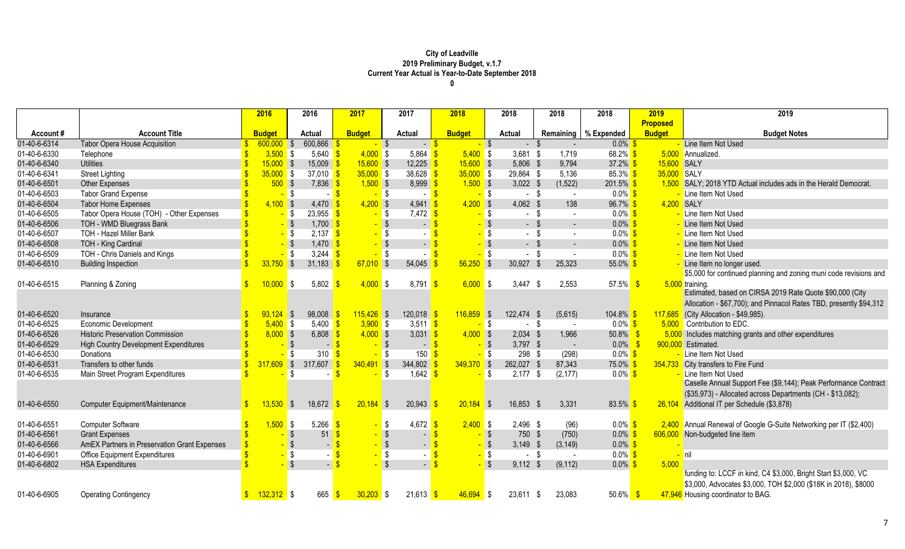|              |                                              | 2016          | 2016                                            | 2017               | 2017                  | 2018             | 2018                    |             | 2018                     | 2018                   | 2019            | 2019                                                               |
|--------------|----------------------------------------------|---------------|-------------------------------------------------|--------------------|-----------------------|------------------|-------------------------|-------------|--------------------------|------------------------|-----------------|--------------------------------------------------------------------|
|              |                                              |               |                                                 |                    |                       |                  |                         |             |                          |                        | <b>Proposed</b> |                                                                    |
| Account#     | <b>Account Title</b>                         | <b>Budget</b> | <b>Actual</b>                                   | <b>Budget</b>      | <b>Actual</b>         | <b>Budget</b>    | <b>Actual</b>           |             |                          | Remaining   % Expended | <b>Budget</b>   | <b>Budget Notes</b>                                                |
| 01-40-6-6314 | Tabor Opera House Acquisition                | 600,000       | 600,866<br>$\sqrt{3}$                           | $-$ \$             |                       | $-5$             | $-$ \$                  | $-$ \$      |                          | $0.0\%$                |                 | Line Item Not Used                                                 |
| 01-40-6-6330 | Telephone                                    | $3,500$ \$    | 5,640 $\frac{1}{5}$                             | $4,000$ \$         | 5,864                 | $5,400$ \$       |                         | $3,681$ \$  | 1,719                    | $68.2\%$ \$            |                 | 5,000 Annualized.                                                  |
| 01-40-6-6340 | <b>Utilities</b>                             | $15,000$ \$   | 15,009                                          | $15,600$ \$        | $12,225$ \$           | $15,600$ \$      |                         | 5,806 \$    | 9,794                    | 37.2% \$               | 15,600 SALY     |                                                                    |
| 01-40-6-6341 | <b>Street Lighting</b>                       | $35,000$ \$   | 37,010                                          | $35,000$ \$        | 38,628                | $35,000$ \$      |                         | 29,864 \$   | 5,136                    | 85.3% $$$              | 35,000 SALY     |                                                                    |
| 01-40-6-6501 | <b>Other Expenses</b>                        | 500S          | $7,836$ \$                                      | $1,500$ \$         | 8,999                 | $1,500$ \$       |                         | $3,022$ \$  | (1,522)                  | $201.5\%$ \$           |                 | 1,500 SALY; 2018 YTD Actual includes ads in the Herald Democrat    |
| 01-40-6-6503 | <b>Tabor Grand Expense</b>                   |               | <b>S</b>                                        | $-$ \$             |                       |                  | <mark>-</mark> \$       | - \$        | $\sim$                   | $0.0\%$ \$             |                 | Line Item Not Used                                                 |
| 01-40-6-6504 | <b>Tabor Home Expenses</b>                   | $4,100$ \$    | $4,470$ \$                                      | $4,200$ \$         | $4,941$ \$            | $4,200$ \$       |                         | 4,062 \$    | 138                      | $96.7\%$ \$            | 4,200 SALY      |                                                                    |
| 01-40-6-6505 | Tabor Opera House (TOH) - Other Expenses     |               | 23,955<br><mark>-</mark> \$                     | $-$ \$             | $7,472$ \$            |                  | <mark>-</mark> \$       | $-$ \$      | $\sim$                   | $0.0\%$ \$             |                 | Line Item Not Used                                                 |
| 01-40-6-6506 | TOH - WMD Bluegrass Bank                     |               | - \$<br>$1,700$ \$                              | $-$ \$             | $\sim$                |                  | $-$ \$                  | $-$ \$      | $\overline{\phantom{0}}$ | $0.0\%$                |                 | Line Item Not Used                                                 |
| 01-40-6-6507 | <b>TOH - Hazel Miller Bank</b>               |               | $2,137$ \$<br><mark>-</mark> \$                 |                    | $-$ \$                |                  | <b>S</b>                | - \$        | $\sim$                   | $0.0\%$ \$             |                 | Line Item Not Used                                                 |
| 01-40-6-6508 | TOH - King Cardinal                          |               | $-$ \$<br>$1,470$ \$                            | $-$ \$             | $\sim$                |                  | $-$ \$                  | - \$        | $\sim$                   | $0.0\%$ \$             |                 | Line Item Not Used                                                 |
| 01-40-6-6509 | TOH - Chris Daniels and Kings                |               | $-$ \$<br>3,244                                 |                    | <mark>-</mark> \$     |                  | $-$ \$                  | $-$ \$      | $\sim$                   | $0.0\%$ \$             |                 | - Line Item Not Used                                               |
| 01-40-6-6510 | <b>Building Inspection</b>                   | $33,750$ \$   | 31,183                                          | $67,010$ \$        | 54,045                | 56,250           | $\sqrt{3}$              | 30,927 \$   | 25,323                   | $55.0\%$ \$            |                 | Line Item no longer used.                                          |
|              |                                              |               |                                                 |                    |                       |                  |                         |             |                          |                        |                 | \$5,000 for continued planning and zoning muni code revisions and  |
| 01-40-6-6515 | Planning & Zoning                            | 10,000        | 5,802<br><b>S</b>                               | $4,000$ \$         | 8,791                 | $6,000$ \$<br>-S |                         | $3,447$ \$  | 2,553                    | $57.5\%$ \$            |                 | 5,000 training.                                                    |
|              |                                              |               |                                                 |                    |                       |                  |                         |             |                          |                        |                 | Estimated, based on CIRSA 2019 Rate Quote \$90,000 (City           |
|              |                                              |               |                                                 |                    |                       |                  |                         |             |                          |                        |                 | Allocation - \$67,700); and Pinnacol Rates TBD, presently \$94,312 |
| 01-40-6-6520 | Insurance                                    | $93,124$ \$   | 98,008                                          | $115,426$ \$       | $120,018$ \$          | $116,859$ \$     |                         | 122,474 \$  | (5,615)                  | $104.8\%$ \$           |                 | 117,685 (City Allocation - \$49,985).                              |
| 01-40-6-6525 | Economic Development                         | $5,400$ \$    | 5,400                                           | $3,900$ \$         | 3,511 $\frac{\$}{\$}$ |                  | <mark>-</mark> \$       | - \$        | $\sim$                   | $0.0\%$ \$             |                 | 5.000 Contribution to EDC.                                         |
| 01-40-6-6526 | <b>Historic Preservation Commission</b>      | $8,000$ \$    | 6,808                                           | $4,000$ \$         | 3,031 \$              | $4,000$ \$       |                         | $2,034$ \$  | 1,966                    | 50.8%                  |                 | 5,000 Includes matching grants and other expenditures              |
| 01-40-6-6529 | <b>High Country Development Expenditures</b> |               | - \$<br>$-$ \$                                  | $-$ \$             |                       | $-5$             | $-$ \$                  | $3,797$ \$  | $\sim$                   | $0.0\%$                |                 | 900,000 Estimated.                                                 |
| 01-40-6-6530 | <b>Donations</b>                             |               | <mark>_</mark> \$<br>$310$ $\sqrt{\frac{9}{2}}$ | $-$ \$             | 150                   |                  | $-$ \$                  | 298 \$      | (298)                    | $0.0\%$ \$             |                 | Line Item Not Used                                                 |
| 01-40-6-6531 | Transfers to other funds                     | $317,609$ \$  | 317,607                                         | $340,491$ \$       | 344,802               | $349,370$ \$     |                         | 262,027 \$  | 87,343                   | 75.0%                  |                 | 354,733 City transfers to Fire Fund                                |
| 01-40-6-6535 | Main Street Program Expenditures             |               | - \$                                            |                    | 1,642<br>- \$         |                  | I\$                     | $2,177$ \$  | (2, 177)                 | $0.0\%$ \$             |                 | Line Item Not Used                                                 |
|              |                                              |               |                                                 |                    |                       |                  |                         |             |                          |                        |                 | Caselle Annual Support Fee (\$9,144); Peak Performance Contract    |
|              |                                              |               |                                                 |                    |                       |                  |                         |             |                          |                        |                 | (\$35,973) - Allocated across Departments (CH - \$13,082);         |
| 01-40-6-6550 | <b>Computer Equipment/Maintenance</b>        | 13,530        | 18,672<br><b>S</b>                              | $20,184$ \$        | 20,943                | $20,184$ \$      |                         | 16,853 \$   | 3,331                    | 83.5%                  |                 | 26,104 Additional IT per Schedule (\$3,878)                        |
|              |                                              |               |                                                 |                    |                       |                  |                         |             |                          |                        |                 |                                                                    |
| 01-40-6-6551 | <b>Computer Software</b>                     | $1,500$ \$    | 5,266                                           |                    | 4,672<br>\$           | $2,400$ \$       |                         | 2,496 \$    | (96)                     | $0.0\%$ \$             |                 | 2,400 Annual Renewal of Google G-Suite Networking per IT (\$2,400) |
| 01-40-6-6561 | <b>Grant Expenses</b>                        |               | 51                                              |                    |                       |                  | $-$ \$                  | 750 \$      | (750)                    | $0.0\%$                |                 | 606,000 Non-budgeted line item                                     |
| 01-40-6-6566 | AmEX Partners in Preservation Grant Expenses |               | $\sqrt{3}$                                      |                    | $\sim$ .              |                  | $-$ \$                  | $3,149$ \$  | (3, 149)                 | $0.0\%$ \$             |                 |                                                                    |
| 01-40-6-6901 | <b>Office Equipment Expenditures</b>         |               | $-$ \$                                          |                    | $-$ \$                | $-$ \$           | $-$ \$                  | - \$        | $\sim$                   | $0.0\%$ \$             |                 | <b>I</b> nil                                                       |
| 01-40-6-6802 | <b>HSA Expenditures</b>                      |               | $-$ \$                                          |                    |                       | $\mathbf{s}$     | $\overline{\mathbf{s}}$ | $9,112$ \$  | (9, 112)                 | $0.0\%$ \$             | 5,000           |                                                                    |
|              |                                              |               |                                                 |                    |                       |                  |                         |             |                          |                        |                 | funding to: LCCF in kind, C4 \$3,000, Bright Start \$3,000, VC     |
|              |                                              |               |                                                 |                    |                       |                  |                         |             |                          |                        |                 | \$3,000, Advocates \$3,000, TOH \$2,000 (\$18K in 2018), \$8000    |
| 01-40-6-6905 | <b>Operating Contingency</b>                 | $132,312$ \$  | 665                                             | $30,203$ \$<br>-\$ | $21,613$ \$           | $46,694$ \$      |                         | $23,611$ \$ | 23,083                   | $50.6\%$               |                 | 47,946 Housing coordinator to BAG.                                 |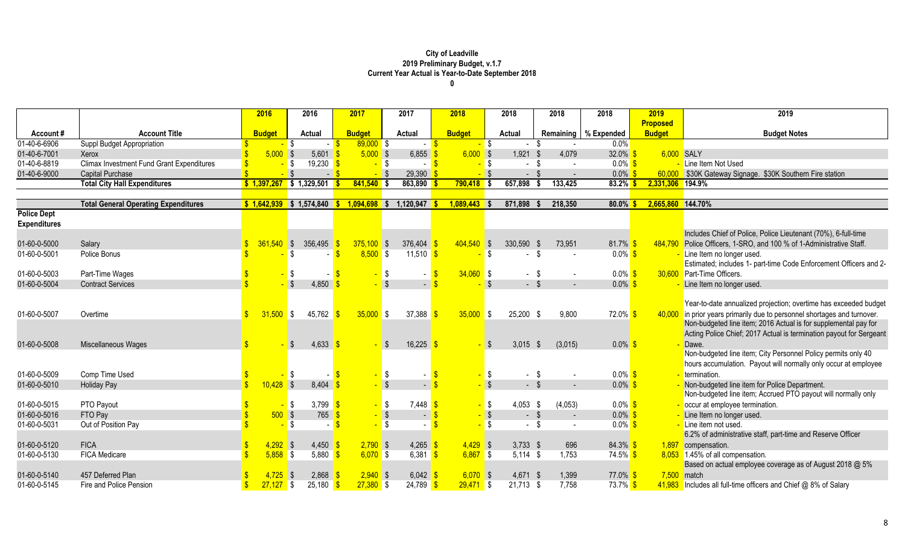| 2016<br>2016<br>2017<br>2017<br>2018<br>2018<br>2018<br>2019<br>2019<br>2018                                                                                                                                                |  |
|-----------------------------------------------------------------------------------------------------------------------------------------------------------------------------------------------------------------------------|--|
| <b>Proposed</b>                                                                                                                                                                                                             |  |
| <b>Account Title</b><br><b>Budget</b><br>Remaining   % Expended<br><b>Budget</b><br><b>Budget</b><br><b>Actual</b><br><b>Actual</b><br><b>Budget</b><br><b>Actual</b><br><b>Budget Notes</b><br>Account#                    |  |
| 01-40-6-6906<br>$89,000$ \$<br>Suppl Budget Appropriation<br>0.0%<br><mark>-</mark> \$<br>-S<br>$\sim$                                                                                                                      |  |
| $5,000$ \$<br>1,921<br>$32.0\%$<br>01-40-6-7001<br>5,000S<br>6,855<br>$6,000$ \$<br>4,079<br>6,000 SALY<br>5,601<br>Xerox                                                                                                   |  |
| 19,230 $\frac{1}{5}$<br>$0.0\%$ \$<br>01-40-6-8819<br><b>Climax Investment Fund Grant Expenditures</b><br>$-$ \$<br><mark>-</mark> \$<br>Line Item Not Used<br>l S<br>$\sim$<br>$\sim$<br>$\sim$                            |  |
| 29,390<br>$-$ \$<br>0.0%<br>01-40-6-9000<br>Capital Purchase<br>60,000 \$30K Gateway Signage. \$30K Southern Fire station<br>$-$ \$                                                                                         |  |
| 657,898<br>133,425<br><b>Total City Hall Expenditures</b><br>$$1,397,267$ \$ 1,329,501<br>$841,540$ \$<br>863,890<br>$790,418$ \$<br>83.2%<br>2,331,306 194.9%                                                              |  |
|                                                                                                                                                                                                                             |  |
| \$1,574,840<br>1,120,947<br>871,898<br>218,350<br>$80.0\%$<br>2,665,860 144.70%<br><b>Total General Operating Expenditures</b><br>\$1,642,939<br>$1,094,698$ \$<br>$1,089,443$ \$<br>s.                                     |  |
| <b>Police Dept</b>                                                                                                                                                                                                          |  |
| <b>Expenditures</b>                                                                                                                                                                                                         |  |
| Includes Chief of Police, Police Lieutenant (70%), 6-full-time                                                                                                                                                              |  |
| 376,404<br>404,540 \$<br>81.7%<br>Police Officers, 1-SRO, and 100 % of 1-Administrative Staff.<br>01-60-0-5000<br>361.540<br>$\sqrt{S}$<br>356,495<br>$375,100$ \$<br>330,590 \$<br>484.790<br>Salary<br>73,951             |  |
| $8,500$ \$<br>01-60-0-5001<br>11,510 $\frac{\text{S}}{\text{S}}$<br><b>S</b><br>$0.0\%$ \$<br>Line Item no longer used.<br>Police Bonus<br>-S<br>$\sim$                                                                     |  |
| Estimated; includes 1- part-time Code Enforcement Officers and 2-                                                                                                                                                           |  |
| 30.600 Part-Time Officers.<br>01-60-0-5003<br>Part-Time Wages<br>$34,060$ \$<br>$0.0\%$ \$<br>\$<br>$-$ \$<br>\$                                                                                                            |  |
| $\sqrt{3}$<br>\$<br>$0.0\%$ \$<br>01-60-0-5004<br>4,850<br>$-$ \$<br><b>Contract Services</b><br>$\mathsf{S}$<br>Line Item no longer used.<br>$\sim$<br>$\overline{\phantom{a}}$                                            |  |
|                                                                                                                                                                                                                             |  |
| Year-to-date annualized projection; overtime has exceeded budget                                                                                                                                                            |  |
| 72.0% \$<br>01-60-0-5007<br>31,500<br>45,762<br>$35,000$ \$<br>37,388<br>$35,000$ \$<br>25,200 \$<br>9,800<br>in prior years primarily due to personnel shortages and turnover.<br>Overtime<br>IS.<br>40,000                |  |
| Non-budgeted line item; 2016 Actual is for supplemental pay for                                                                                                                                                             |  |
| Acting Police Chief; 2017 Actual is termination payout for Sergeant                                                                                                                                                         |  |
| 4,633<br>16,225<br>3,015<br>$0.0\%$ \$<br>01-60-0-5008<br>(3,015)<br>Miscellaneous Wages<br>- \$<br>- \$<br>Dawe.<br><b>S</b>                                                                                               |  |
| Non-budgeted line item; City Personnel Policy permits only 40                                                                                                                                                               |  |
| hours accumulation. Payout will normally only occur at employee                                                                                                                                                             |  |
| $0.0\%$ \$<br>01-60-0-5009<br>Comp Time Used<br>\$<br>$\sqrt{3}$<br>$\sqrt{3}$<br>$-$ \$<br><u>-</u> termination.                                                                                                           |  |
| $\sqrt{3}$<br>$\sqrt{3}$<br>$\sqrt{3}$<br>$-$ \$<br>$0.0\%$ \$<br>01-60-0-5010<br><b>Holiday Pay</b><br>10,428<br>Non-budgeted line item for Police Department.<br>8,404                                                    |  |
| Non-budgeted line item; Accrued PTO payout will normally only                                                                                                                                                               |  |
| $0.0\%$ \$<br>01-60-0-5015<br>PTO Payout<br>3,799 $\frac{1}{5}$<br>7,448<br>$4,053$ \$<br>(4,053)<br>\$<br>S S<br>- \$<br>- occur at employee termination.                                                                  |  |
| 01-60-0-5016<br>500S<br>765<br>$-$ \$<br>$0.0\%$ \$<br>FTO Pay<br>$\sqrt{3}$<br>$-$ \$<br>Line Item no longer used.<br>$\sim$<br>$\sim$                                                                                     |  |
| $-5$<br>01-60-0-5031<br>$\sqrt{3}$<br>$0.0\%$ \$<br>Out of Position Pay<br>- \$<br>- Line item not used.<br>\$<br>$\sim$ $-$<br>$\sim$                                                                                      |  |
| 6.2% of administrative staff, part-time and Reserve Officer                                                                                                                                                                 |  |
| 01-60-0-5120<br><b>FICA</b><br>$4,292$ \$<br>$2,790$ \$<br>4,265<br>$4,429$ \$<br>$3,733$ \$<br>696<br>$84.3\%$ \$<br>4,450<br>1,897 compensation.                                                                          |  |
| 01-60-0-5130<br><b>FICA Medicare</b><br>5,880<br>$6,070$ \$<br>6,381<br>$6,867$ \$<br>$5,114$ \$<br>1,753<br>$74.5\%$ \$<br>5,858<br>$\mathsf{S}$<br>8,053 1.45% of all compensation.                                       |  |
| Based on actual employee coverage as of August 2018 @ 5%                                                                                                                                                                    |  |
| 01-60-0-5140<br>457 Deferred Plan<br>2,868<br>$2,940$ \$<br>$6,070$ \$<br>4,725<br>6,042<br>4,671 \$<br>1,399<br>$77.0\%$ \$<br>$7,500$ match                                                                               |  |
| $25,180$ \$<br>$27,380$ \$<br>$24,789$ \$<br>7,758<br>01-60-0-5145<br>Fire and Police Pension<br>$27,127$ \$<br>$29,471$ \$<br>$21,713$ \$<br>73.7% \$<br>$41,983$ Includes all full-time officers and Chief @ 8% of Salary |  |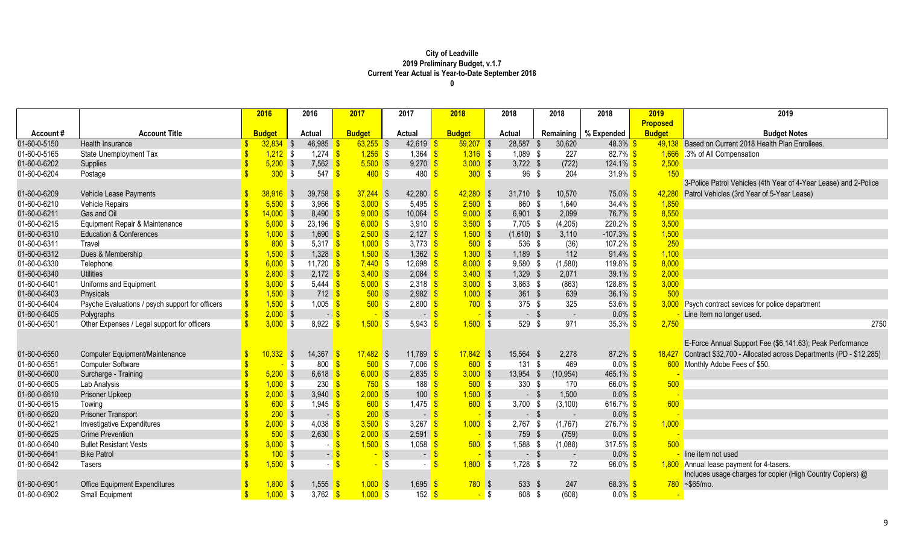|              |                                                 | 2016               | 2016                               | 2017              | 2017                  | 2018          | 2018             | 2018         | 2018                   | 2019            | 2019                                                             |
|--------------|-------------------------------------------------|--------------------|------------------------------------|-------------------|-----------------------|---------------|------------------|--------------|------------------------|-----------------|------------------------------------------------------------------|
|              |                                                 |                    |                                    |                   |                       |               |                  |              |                        | <b>Proposed</b> |                                                                  |
| Account #    | <b>Account Title</b>                            | <b>Budget</b>      | Actual                             | <b>Budget</b>     | <b>Actual</b>         | <b>Budget</b> | Actual           |              | Remaining   % Expended | <b>Budget</b>   | <b>Budget Notes</b>                                              |
| 01-60-0-5150 | <b>Health Insurance</b>                         | $32,834$ \$        | 46,985                             | $63,255$ \$       | 42,619 \$             | $59,207$ \$   | 28,587           | 30,620       | 48.3% \$               | 49,138          | Based on Current 2018 Health Plan Enrollees.                     |
| 01-60-0-5165 | State Unemployment Tax                          | $1,212$ \$         | $1,274$ \$                         | $1,256$ \$        | 1,364 $\sqrt{s}$      | $1,316$ \$    | $1,089$ \$       | 227          | $82.7\%$ \$            | 1,666           | 3% of All Compensation                                           |
| 01-60-0-6202 | Supplies                                        | $5,200$ \$         | 7,562                              | $5,500$ \$        | $9,270$ \$            | $3,000$ \$    | $3,722$ \$       | (722)        | $124.1\%$ \$           | 2,500           |                                                                  |
| 01-60-0-6204 | Postage                                         |                    | 300S<br>547                        | $400$ \$          | $480 - $$             | 300S          | 96               | \$<br>204    | 31.9% \$               | 150             |                                                                  |
|              |                                                 |                    |                                    |                   |                       |               |                  |              |                        |                 | 3-Police Patrol Vehicles (4th Year of 4-Year Lease) and 2-Police |
| 01-60-0-6209 | Vehicle Lease Payments                          | 38,916             | 39,758<br>$\sqrt{S}$               | $37,244$ \$       | 42,280                | $42,280$ \$   | $31,710$ \$      | 10,570       | $75.0\%$ \$            | 42,280          | Patrol Vehicles (3rd Year of 5-Year Lease)                       |
| 01-60-0-6210 | <b>Vehicle Repairs</b>                          | $5,500$ \$         | 3,966                              | $3,000$ \$        | 5,495 \$              | $2,500$ \$    | 860 \$           | 1,640        | $34.4\%$ \$            | 1,850           |                                                                  |
| 01-60-0-6211 | Gas and Oil                                     | 14.000             | $\sqrt{3}$<br>8,490                | $9,000$ \$        | $10,064$ \$           | $9,000$ \$    | $6,901$ \$       | 2,099        | 76.7% \$               | 8,550           |                                                                  |
| 01-60-0-6215 | Equipment Repair & Maintenance                  | $5,000$ \$         | $23,196$ \$                        | $6,000$ \$        | 3,910 $\sqrt{9}$      | $3,500$ \$    | 7,705 \$         | (4,205)      | $220.2\%$ \$           | 3,500           |                                                                  |
| 01-60-0-6310 | <b>Education &amp; Conferences</b>              | $1,000$ \$         | 1,690                              | $2,500$ \$        | $2,127$ \$            | $1,500$ \$    | $(1,610)$ \$     | 3,110        | $-107.3\%$ \$          | 1,500           |                                                                  |
| 01-60-0-6311 | Travel                                          |                    | 800S<br>5,317 \$                   | $1,000$ \$        | 3,773 $$$             | $500$ \$      | 536 \$           | (36)         | 107.2% \$              | 250             |                                                                  |
| 01-60-0-6312 | Dues & Membership                               | $1,500$ \$         | 1,328                              | $1,500$ \$        | $1,362$ \$            | $1,300$ \$    | $1,189$ \$       | 112          | $91.4\%$               | 1,100           |                                                                  |
| 01-60-0-6330 | Telephone                                       | $6,000$ \$         | 11,720 $\frac{1}{5}$               | $7,440$ \$        | 12,698 $\frac{9}{5}$  | $8,000$ \$    | $9,580$ \$       | (1,580)      | 119.8% <sup>S</sup>    | 8,000           |                                                                  |
| 01-60-0-6340 | <b>Utilities</b>                                | $2,800$ \$         | $2,172$ \$                         | $3,400$ \$        | $2,084$ \$            | $3,400$ \$    | 1,329 \$         | 2,071        | 39.1% \$               | 2,000           |                                                                  |
| 01-60-0-6401 | Uniforms and Equipment                          | $3,000$ \$         | 5,444 \$                           | $5,000$ \$        | $2,318$ \$            | $3,000$ \$    | $3,863$ \$       | (863)        | 128.8% <sup>S</sup>    | 3,000           |                                                                  |
| 01-60-0-6403 | Physicals                                       | $1,500$ \$         | $712$ \$                           | $500$ \$          | $2,982$ \$            | $1,000$ \$    | $361$ \$         | 639          | $36.1\%$ \$            | 500             |                                                                  |
| 01-60-0-6404 | Psyche Evaluations / psych support for officers | $1,500$ \$         | 1,005                              | 500S              | $2,800$ $\frac{1}{2}$ | $700$ \$      | $375$ \$         | 325          | 53.6% \$               |                 | 3,000 Psych contract sevices for police department               |
| 01-60-0-6405 | Polygraphs                                      | $2,000$ \$         | $\bigoplus$                        |                   | $\sqrt{S}$<br>$\sim$  |               | -\$<br>- \$      | $\sim$       | $0.0\%$ \$             |                 | Line Item no longer used.                                        |
| 01-60-0-6501 | Other Expenses / Legal support for officers     | $3,000$ \$         | 8,922                              | $1,500$ \$        | 5,943                 | $1,500$ \$    | 529 \$           | 971          | $35.3\%$ \$            | 2,750           | 2750                                                             |
|              |                                                 |                    |                                    |                   |                       |               |                  |              |                        |                 |                                                                  |
|              |                                                 |                    |                                    |                   |                       |               |                  |              |                        |                 | E-Force Annual Support Fee (\$6,141.63); Peak Performance        |
| 01-60-0-6550 | <b>Computer Equipment/Maintenance</b>           | 0.332 <sub>1</sub> | 14,367<br>$\sqrt{S}$               | $17,482$ \$       | $11,789$ \$           | $17,842$ \$   | 15,564 \$        | 2,278        | $87.2\%$ \$            | 18,427          | Contract \$32,700 - Allocated across Departments (PD - \$12,285) |
| 01-60-0-6551 | <b>Computer Software</b>                        |                    | 800<br>\$                          | 500S              | $7,006$ \$            | 600S          | 131S             | 469          | $0.0\%$ \$             |                 | 600 Monthly Adobe Fees of \$50.                                  |
| 01-60-0-6600 | Surcharge - Training                            | $5,200$ \$         | 6,618                              | $6,000$ \$        | $2,835$ \$            | $3,000$ \$    | 13,954 \$        | (10, 954)    | $465.1\%$ \$           |                 |                                                                  |
| 01-60-0-6605 | Lab Analysis                                    | $1,000$ \$         | 230                                | $750$ \$          | $188$ \$              | $500$ \$      | $330*$           | 170          | 66.0% \$               | 500             |                                                                  |
| 01-60-0-6610 | Prisoner Upkeep                                 | $2,000$ \$         | 3,940                              | $2,000$ \$        | 100                   | $1,500$ \$    | $-$ \$           | 1,500        | $0.0\%$                |                 |                                                                  |
| 01-60-0-6615 | Towing                                          |                    | 600S<br>1,945                      | $600$ \$          | 1,475                 | $600$ \$      | $3,700$ \$       | (3, 100)     | 616.7% \$              | 600             |                                                                  |
| 01-60-0-6620 | <b>Prisoner Transport</b>                       |                    | $200$ \$<br>$\left  \cdot \right $ | $200$ \$          | $-1$                  | $-$ \$        | - \$             | $\sim$       | $0.0\%$                |                 |                                                                  |
| 01-60-0-6621 | Investigative Expenditures                      | $2,000$ \$         | 4,038                              | $3,500$ \$        | 3,267                 | $1,000$ \$    | $2,767$ \$       | (1,767)      | $276.7\%$ \$           | 1,000           |                                                                  |
| 01-60-0-6625 | <b>Crime Prevention</b>                         |                    | 2,630<br>$500$ \$                  | $2,000$ \$        | $2,591$ \$            | $-$ \$        | 759 \$           | (759)        | $0.0\%$                |                 |                                                                  |
| 01-60-0-6640 | <b>Bullet Resistant Vests</b>                   | $3,000$ \$         |                                    | $1,500$ \$        | 1,058                 | $500$ \$      | 1,588 \$         | (1,088)      | 317.5% \$              | 500             |                                                                  |
| 01-60-0-6641 | <b>Bike Patrol</b>                              |                    | 100S<br>$\blacksquare$             |                   | $\sqrt{3}$            | $-$ \$        | $-$ \$           | $\sim$       | $0.0\%$                |                 | line item not used                                               |
| 01-60-0-6642 | Tasers                                          | $1,500$ \$         | $\blacksquare$                     |                   | <b>S</b><br>$\sim$    | $1,800$ \$    | $1,728$ \$       | 72           | $96.0\%$ \$            |                 | 1,800 Annual lease payment for 4-tasers.                         |
|              |                                                 |                    |                                    |                   |                       |               |                  |              |                        |                 | Includes usage charges for copier (High Country Copiers) @       |
| 01-60-0-6901 | <b>Office Equipment Expenditures</b>            | 1,800              | 1,555<br>$\sqrt{S}$                | $1,000$ \$        | $1,695$ \$            | $780$ \$      | 533 \$           | 247          | $68.3\%$ \$            |                 | 780 ~\$65/mo.                                                    |
| 01-60-0-6902 | Small Equipment                                 | $1,000$ \$<br>-S   | 3,762                              | $1,000$ \$<br>-\$ | $152$ \$              |               | 608<br><b>\$</b> | (608)<br>-\$ | $0.0\%$ \$             |                 |                                                                  |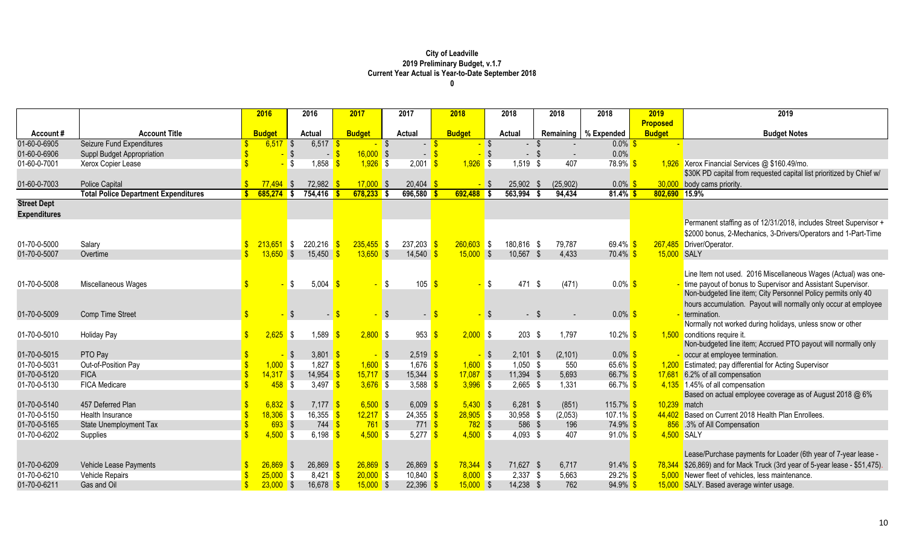|                     |                                             |     | 2016          | 2016                                     | 2017          |            | 2017          | 2018          |                   |          | 2018          | 2018              | 2018                   | 2019            | 2019                                                                 |
|---------------------|---------------------------------------------|-----|---------------|------------------------------------------|---------------|------------|---------------|---------------|-------------------|----------|---------------|-------------------|------------------------|-----------------|----------------------------------------------------------------------|
|                     |                                             |     |               |                                          |               |            |               |               |                   |          |               |                   |                        | <b>Proposed</b> |                                                                      |
| Account#            | <b>Account Title</b>                        |     | <b>Budget</b> | <b>Actual</b>                            | <b>Budget</b> |            | <b>Actual</b> | <b>Budget</b> |                   |          | <b>Actual</b> |                   | Remaining   % Expended | <b>Budget</b>   | <b>Budget Notes</b>                                                  |
| 01-60-0-6905        | <b>Seizure Fund Expenditures</b>            |     | 6,517         | 6,517<br>$\sqrt{3}$                      |               |            |               |               |                   | - \$     |               |                   | $0.0\%$                |                 |                                                                      |
| 01-60-0-6906        | Suppl Budget Appropriation                  |     |               | - I                                      | $16,000$ \$   |            | $\sim$        |               |                   | ∣\$      | $\sim$        |                   | 0.0%                   |                 |                                                                      |
| 01-60-0-7001        | Xerox Copier Lease                          |     |               | 1,858<br>-\$                             | $1,926$ \$    |            | 2,001         |               | $1,926$ \$        |          | 1,519         | 407<br>- \$       | 78.9% <sup>S</sup>     |                 | 1,926 Xerox Financial Services @ \$160.49/mo.                        |
|                     |                                             |     |               |                                          |               |            |               |               |                   |          |               |                   |                        |                 | \$30K PD capital from requested capital list prioritized by Chief w/ |
| 01-60-0-7003        | <b>Police Capital</b>                       |     | $77,494$ \$   | 72,982                                   | $17,000$ \$   |            | 20,404        |               | - \$              |          | 25,902        | (25, 902)<br>- \$ | $0.0\%$                | 30,000          | body cams priority.                                                  |
|                     | <b>Total Police Department Expenditures</b> | -\$ | $685,274$ \$  | 754,416                                  | $678,233$ \$  |            | 696,580       |               | $692,488$ \$      |          | 563,994       | 94,434            | $81.4\%$ \$            | 802,690 15.9%   |                                                                      |
| <b>Street Dept</b>  |                                             |     |               |                                          |               |            |               |               |                   |          |               |                   |                        |                 |                                                                      |
| <b>Expenditures</b> |                                             |     |               |                                          |               |            |               |               |                   |          |               |                   |                        |                 |                                                                      |
|                     |                                             |     |               |                                          |               |            |               |               |                   |          |               |                   |                        |                 | Permanent staffing as of 12/31/2018, includes Street Supervisor +    |
|                     |                                             |     |               |                                          |               |            |               |               |                   |          |               |                   |                        |                 | \$2000 bonus, 2-Mechanics, 3-Drivers/Operators and 1-Part-Time       |
| 01-70-0-5000        | Salary                                      |     | $213,651$ \$  | 220,216                                  | $235,455$ \$  |            | 237,203       |               | $260,603$ \$      |          | 180,816 \$    | 79,787            | 69.4% $$$              | 267,485         | Driver/Operator.                                                     |
| 01-70-0-5007        | Overtime                                    |     | 13,650        | $\sqrt{S}$<br>15,450                     | $13,650$ \$   |            | 14,540        |               | $15,000$ \$       |          | 10,567 \$     | 4,433             | $70.4\%$ \$            | 15,000          | SALY                                                                 |
|                     |                                             |     |               |                                          |               |            |               |               |                   |          |               |                   |                        |                 |                                                                      |
|                     |                                             |     |               |                                          |               |            |               |               |                   |          |               |                   |                        |                 | Line Item not used. 2016 Miscellaneous Wages (Actual) was one-       |
| 01-70-0-5008        | Miscellaneous Wages                         |     |               | \$<br>5,004                              |               | $\sqrt{3}$ | 105           |               |                   | <b>S</b> | 471 \$        | (471)             | $0.0\%$ \$             |                 | time payout of bonus to Supervisor and Assistant Supervisor.         |
|                     |                                             |     |               |                                          |               |            |               |               |                   |          |               |                   |                        |                 | Non-budgeted line item; City Personnel Policy permits only 40        |
|                     |                                             |     |               |                                          |               |            |               |               |                   |          |               |                   |                        |                 | hours accumulation. Payout will normally only occur at employee      |
| 01-70-0-5009        | Comp Time Street                            |     |               | - \$                                     |               | -\$        | $\sim$        |               | - \$              |          | $-$ \$        |                   | $0.0\%$ \$             |                 | termination.                                                         |
|                     |                                             |     |               |                                          |               |            |               |               |                   |          |               |                   |                        |                 | Normally not worked during holidays, unless snow or other            |
| 01-70-0-5010        | <b>Holiday Pay</b>                          |     | $2,625$ \$    | 1,589                                    | $2,800$ \$    |            | 953           |               | $2,000$ \$        |          | $203$ \$      | 1,797             | 10.2% $$$              | 1,500           | conditions require it.                                               |
|                     |                                             |     |               |                                          |               |            |               |               |                   |          |               |                   |                        |                 | Non-budgeted line item; Accrued PTO payout will normally only        |
| 01-70-0-5015        | PTO Pay                                     |     |               | 3,801 $\frac{1}{5}$<br><mark>-</mark> \$ | ÷.            | $\sqrt{S}$ | $2,519$ \$    |               | <mark>-</mark> \$ |          | $2,101$ \$    | (2, 101)          | $0.0\%$ \$             |                 | occur at employee termination.                                       |
| 01-70-0-5031        | Out-of-Position Pay                         |     | $1,000$ \$    | 1,827                                    | $1,600$ \$    |            | $1,676$ \$    |               | $1,600$ \$        |          | $1,050$ \$    | 550               | 65.6% $$$              |                 | 1,200 Estimated; pay differential for Acting Supervisor              |
| 01-70-0-5120        | <b>FICA</b>                                 |     | $14,317$ \$   | 14,954                                   | $15,717$ \$   |            | 15,344        |               | $17,087$ \$       |          | 11,394        | 5,693             | 66.7% \$               | 17,681          | 6.2% of all compensation                                             |
| 01-70-0-5130        | <b>FICA Medicare</b>                        |     | $458$ \$      | 3,497                                    | $3,676$ \$    |            | 3,588         |               | $3,996$ \$        |          | $2,665$ \$    | 1,331             | 66.7% \$               |                 | 4,135 1.45% of all compensation                                      |
|                     |                                             |     |               |                                          |               |            |               |               |                   |          |               |                   |                        |                 | Based on actual employee coverage as of August 2018 @ 6%             |
| 01-70-0-5140        | 457 Deferred Plan                           |     | $6,832$ \$    | $7,177$ \$                               | $6,500$ \$    |            | 6,009         |               | $5,430$ \$        |          | $6,281$ \$    | (851)             | 115.7% $$$             | 10,239          | match                                                                |
| 01-70-0-5150        | Health Insurance                            |     | $18,306$ \$   | 16,355                                   | $12,217$ \$   |            | $24,355$ \$   |               | $28,905$ \$       |          | 30,958 \$     | (2,053)           | 107.1% \$              | 44.402          | Based on Current 2018 Health Plan Enrollees.                         |
| 01-70-0-5165        | <b>State Unemployment Tax</b>               |     | $693$ \$      | 744                                      | $761$ \$      |            | $771$ \$      |               | $782$ \$          |          | 586 \$        | 196               | 74.9% \$               |                 | 856 .3% of All Compensation                                          |
| 01-70-0-6202        | Supplies                                    |     | $4,500$ \$    | 6,198                                    | $4,500$ \$    |            | 5,277         |               | $4,500$ \$        |          | 4,093 \$      | 407               | 91.0% $$$              | 4,500 SALY      |                                                                      |
|                     |                                             |     |               |                                          |               |            |               |               |                   |          |               |                   |                        |                 |                                                                      |
|                     |                                             |     |               |                                          |               |            |               |               |                   |          |               |                   |                        |                 | Lease/Purchase payments for Loader (6th year of 7-year lease -       |
| 01-70-0-6209        | Vehicle Lease Payments                      |     | $26,869$ \$   | 26,869                                   | $26,869$ \$   |            | 26,869        |               | $78,344$ \$       |          | 71,627 \$     | 6,717             | $91.4\%$ \$            | 78,344          | \$26,869) and for Mack Truck (3rd year of 5-year lease - \$51,475).  |
| 01-70-0-6210        | Vehicle Repairs                             |     | $25,000$ \$   | $8,421$ $\sqrt{\$}$                      | $20,000$ \$   |            | 10,840        |               | $8,000$ \$        |          | $2,337$ \$    | 5,663             | $29.2\%$ \$            | 5.000           | Newer fleet of vehicles, less maintenance.                           |
| 01-70-0-6211        | Gas and Oil                                 |     | $23,000$ \$   | 16,678                                   | $15,000$ \$   |            | 22,396        |               | $15,000$ \$       |          | 14,238 \$     | 762               | $94.9\%$ \$            |                 | 15,000 SALY. Based average winter usage.                             |
|                     |                                             |     |               |                                          |               |            |               |               |                   |          |               |                   |                        |                 |                                                                      |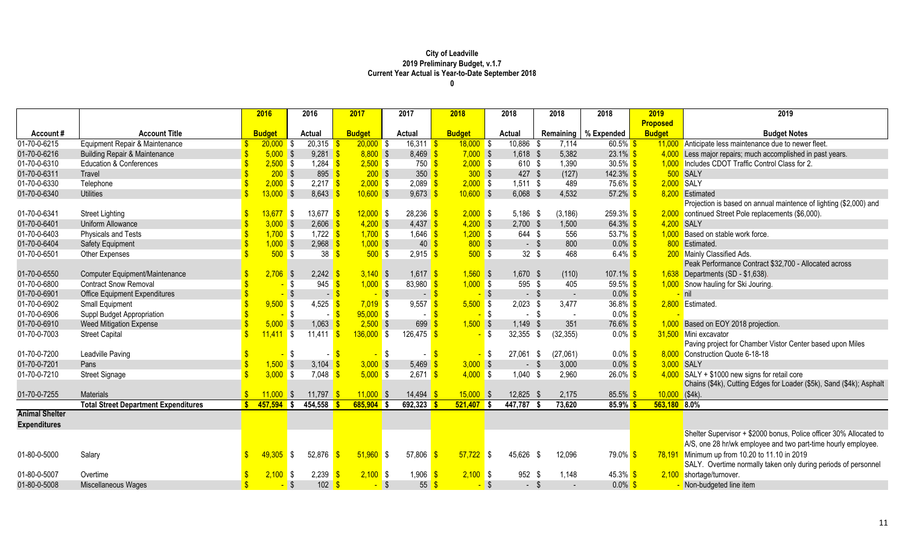|                       |                                             |              | 2016          | 2016                | 2017                       | 2017                              | 2018          |                        | 2018            | 2018             | 2018                   | 2019             | 2019                                                                 |
|-----------------------|---------------------------------------------|--------------|---------------|---------------------|----------------------------|-----------------------------------|---------------|------------------------|-----------------|------------------|------------------------|------------------|----------------------------------------------------------------------|
|                       |                                             |              |               |                     |                            |                                   |               |                        |                 |                  |                        | <b>Proposed</b>  |                                                                      |
| Account#              | <b>Account Title</b>                        |              | <b>Budget</b> | <b>Actual</b>       | <b>Budget</b>              | <b>Actual</b>                     | <b>Budget</b> |                        | <b>Actual</b>   |                  | Remaining   % Expended | <b>Budget</b>    | <b>Budget Notes</b>                                                  |
| 01-70-0-6215          | Equipment Repair & Maintenance              |              | $20,000$ \$   | 20,315              | $20,000$ \$                | $\overline{16,311}$ \$            |               | $18,000$ \$            | 10,886 \$       | 7,114            | $60.5\%$ \$            |                  | 11,000 Anticipate less maintenance due to newer fleet.               |
| 01-70-0-6216          | <b>Building Repair &amp; Maintenance</b>    |              | $5,000$ \$    | $9,281$ \$          | $8,800$ \$                 | 8,469                             |               | $7,000$ \$             | 1,618 \$        | 5,382            | 23.1%                  |                  | Less major repairs; much accomplished in past years.                 |
| 01-70-0-6310          | <b>Education &amp; Conferences</b>          |              | $2,500$ \$    | 1,284 $\frac{1}{5}$ | $2,500$ \$                 | $750$ \$                          |               | $2,000$ \$             | 610 \$          | 1,390            | $30.5\%$ \$            |                  | 1,000 Includes CDOT Traffic Control Class for 2.                     |
| 01-70-0-6311          | Travel                                      |              | 200S          | $895 - $$           | $200$ \$                   | 350                               |               | 300S                   | 427 \$          | (127)            | $142.3\%$ \$           |                  | 500 SALY                                                             |
| 01-70-0-6330          | Telephone                                   |              | $2,000$ \$    | $2,217$ \$          | $2,000$ \$                 | 2,089                             |               | $2,000$ \$             | $1,511$ \$      | 489              | 75.6% \$               | 2,000 SALY       |                                                                      |
| 01-70-0-6340          | <b>Utilities</b>                            |              | $13,000$ \$   | $8,643$ \$          | $10,600$ \$                | 9,673                             |               | $10,600$ \$            | $6,068$ \$      | 4,532            | 57.2%                  |                  | 8,200 Estimated                                                      |
|                       |                                             |              |               |                     |                            |                                   |               |                        |                 |                  |                        |                  | Projection is based on annual maintence of lighting (\$2,000) and    |
| 01-70-0-6341          | <b>Street Lighting</b>                      |              | $13,677$ \$   | $13,677$ \$         | $12,000$ \$                | 28,236                            |               | $2,000$ \$             | 5,186 \$        | (3, 186)         | $259.3\%$ \$           |                  | 2,000 continued Street Pole replacements (\$6,000).                  |
| 01-70-0-6401          | Uniform Allowance                           |              | $3,000$ \$    | $2,606$ \$          | $4,200$ \$                 | 4,437                             |               | $4,200$ \$             | $2,700$ \$      | 1,500            | $64.3\%$ \$            |                  | 4,200 SALY                                                           |
| 01-70-0-6403          | Physicals and Tests                         |              | $1,700$ \$    | 1,722 $\frac{1}{5}$ | $1,700$ \$                 | 1,646 $\frac{\text{S}}{\text{S}}$ |               | $1,200$ \$             | 644 \$          | 556              | 53.7% \$               |                  | 1,000 Based on stable work force.                                    |
| 01-70-0-6404          | <b>Safety Equipment</b>                     |              | $,000$ \$     | $2,968$ \$          | $1,000$ \$                 | 40                                |               | $800$ \$               | - \$            | 800              | $0.0\%$ \$             |                  | 800 Estimated.                                                       |
| 01-70-0-6501          | Other Expenses                              |              | $500$ \$      | 38                  | $500$ \$<br>-\$            | $2,915$ \$                        |               | $500$ \$               | $32 \quad $$    | 468              | 6.4% $$$               |                  | 200 Mainly Classified Ads.                                           |
|                       |                                             |              |               |                     |                            |                                   |               |                        |                 |                  |                        |                  | Peak Performance Contract \$32,700 - Allocated across                |
| 01-70-0-6550          | <b>Computer Equipment/Maintenance</b>       |              | $2,706$ \$    | $2,242$ \$          | $3,140$ \$                 | $1,617$ \$                        |               | $1,560$ \$             | 1,670 \$        | (110)            | $107.1\%$ \$           |                  | 1,638 Departments (SD - \$1,638).                                    |
| 01-70-0-6800          | <b>Contract Snow Removal</b>                |              |               | 945<br>\$           | $1,000$ \$                 | 83,980                            |               | $1,000$ \$             | 595 \$          | 405              | 59.5% \$               |                  | 1,000 Snow hauling for Ski Jouring.                                  |
| 01-70-0-6901          | <b>Office Equipment Expenditures</b>        |              |               |                     | - \$<br>$-$ \$             |                                   | $-5$          | $\sqrt{3}$             | - \$            |                  | $0.0\%$ \$             |                  | nil                                                                  |
| 01-70-0-6902          | Small Equipment                             |              | $9,500$ \$    | 4,525 \$            | $7,019$ \$                 | 9,557                             |               | $5,500$ \$             | $2,023$ \$      | 3,477            | 36.8% $$$              |                  | 2,800 Estimated.                                                     |
| 01-70-0-6906          | Suppl Budget Appropriation                  |              |               | <b>S</b>            | $-$ \$<br>$95,000$ \$      | $\sim$                            |               |                        | \$<br>$-$ \$    |                  | $0.0\%$ \$             |                  |                                                                      |
| 01-70-0-6910          | <b>Weed Mitigation Expense</b>              |              | $5,000$ \$    | $1,063$ \$          | $2,500$ \$                 | 699                               |               | $1,500$ \$             | $1,149$ \$      | 351              | 76.6%                  |                  | Based on EOY 2018 projection.                                        |
| 01-70-0-7003          | <b>Street Capital</b>                       |              | $11,411$ \$   | 11,411              | $136,000$ \$<br>$\sqrt{S}$ | 126,475                           |               | \$                     | 32,355 \$       | (32, 355)        | $0.0\%$ \$             |                  | 31,500 Mini excavator                                                |
|                       |                                             |              |               |                     |                            |                                   |               |                        |                 |                  |                        |                  | Paving project for Chamber Vistor Center based upon Miles            |
| 01-70-0-7200          | Leadville Paving                            |              |               | \$                  |                            | <b>S</b><br>$\sim$                |               |                        | 27,061<br>\$    | (27,061)<br>- \$ | $0.0\%$                |                  | 8,000 Construction Quote 6-18-18                                     |
| 01-70-0-7201          | Pans                                        |              | $1,500$ \$    | 3,104 \$            | $3,000$ \$                 | 5,469                             |               | $3,000$ \$             | - \$            | 3,000            | $0.0\%$                |                  | 3,000 SALY                                                           |
| 01-70-0-7210          | <b>Street Signage</b>                       |              | $3,000$ \$    | 7,048               | $5,000$ \$                 | $2,671$ \$                        |               | $4,000$ \$             | $1,040$ \$      | 2,960            | $26.0\%$ \$            |                  | $4,000$ SALY + \$1000 new signs for retail core                      |
|                       |                                             |              |               |                     |                            |                                   |               |                        |                 |                  |                        |                  | Chains (\$4k), Cutting Edges for Loader (\$5k), Sand (\$4k); Asphalt |
| 01-70-0-7255          | <b>Materials</b>                            |              | 11,000        | 11,797 \$<br>- \$   | $11,000$ \$                | 14,494                            |               | 15,000<br>$\mathsf{S}$ | 12,825          | 2,175<br>- \$    | 85.5%                  | $10,000$ (\$4k). |                                                                      |
|                       | <b>Total Street Department Expenditures</b> | $\mathbf{s}$ | $457,594$ \$  | 454,558             | $685,904$ \$               | 692,323                           |               | $521,407$ \$           | 447,787         | 73,620           | $85.9\%$               | 563,180 8.0%     |                                                                      |
| <b>Animal Shelter</b> |                                             |              |               |                     |                            |                                   |               |                        |                 |                  |                        |                  |                                                                      |
| <b>Expenditures</b>   |                                             |              |               |                     |                            |                                   |               |                        |                 |                  |                        |                  |                                                                      |
|                       |                                             |              |               |                     |                            |                                   |               |                        |                 |                  |                        |                  | Shelter Supervisor + \$2000 bonus, Police officer 30% Allocated to   |
|                       |                                             |              |               |                     |                            |                                   |               |                        |                 |                  |                        |                  | A/S, one 28 hr/wk employee and two part-time hourly employee.        |
| 01-80-0-5000          | Salary                                      |              | 49,305        | 52,876<br>l S       | $51,960$ \$                | 57,806                            | -96           | 57,722                 | 45,626 \$<br>\$ | 12,096           | 79.0%                  | 78,191           | Minimum up from 10.20 to 11.10 in 2019                               |
|                       |                                             |              |               |                     |                            |                                   |               |                        |                 |                  |                        |                  | SALY. Overtime normally taken only during periods of personnel       |
| 01-80-0-5007          | Overtime                                    |              | $2,100$ \$    | 2,239               | $2,100$ \$                 | 1,906                             |               | $2,100$ \$             | 952 \$          | 1,148            | $45.3\%$ \$            |                  | 2,100 shortage/turnover.                                             |
| 01-80-0-5008          | Miscellaneous Wages                         |              |               | $102 \frac{1}{5}$   | $-$ \$                     | 55                                |               |                        | \$<br>$-$ \$    |                  | $0.0\%$                |                  | Non-budgeted line item                                               |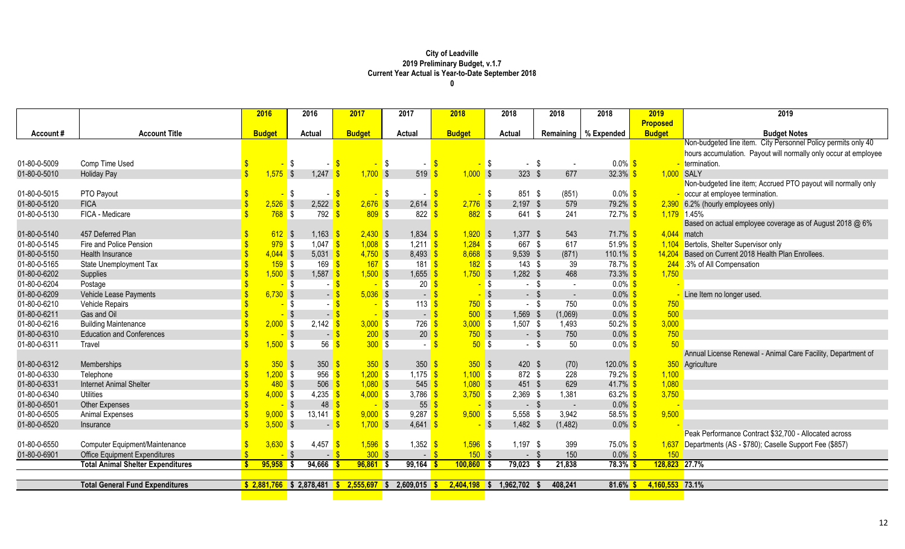|              |                                          | 2016          | 2016                               | 2017                   | 2017                              | 2018          |            | 2018          | 2018     | 2018                   | 2019             | 2019                                                            |
|--------------|------------------------------------------|---------------|------------------------------------|------------------------|-----------------------------------|---------------|------------|---------------|----------|------------------------|------------------|-----------------------------------------------------------------|
|              |                                          |               |                                    |                        |                                   |               |            |               |          |                        | <b>Proposed</b>  |                                                                 |
| Account#     | <b>Account Title</b>                     | <b>Budget</b> | <b>Actual</b>                      | <b>Budget</b>          | Actual                            | <b>Budget</b> |            | <b>Actual</b> |          | Remaining   % Expended | <b>Budget</b>    | <b>Budget Notes</b>                                             |
|              |                                          |               |                                    |                        |                                   |               |            |               |          |                        |                  | Non-budgeted line item. City Personnel Policy permits only 40   |
|              |                                          |               |                                    |                        |                                   |               |            |               |          |                        |                  | hours accumulation. Payout will normally only occur at employee |
| 01-80-0-5009 | Comp Time Used                           |               | <b>\$</b><br>$-5$                  | - \$                   |                                   | -\$           | <b>S</b>   | $-$ \$        | $\sim$   | $0.0\%$ \$             |                  | - termination.                                                  |
| 01-80-0-5010 | <b>Holiday Pay</b>                       | $1,575$ \$    | 1,247                              | $1,700$ \$             | $519$ $\sqrt{\frac{6}{5}}$        | $1,000$ \$    |            | $323$ \$      | 677      | $32.3\%$ \$            |                  | 1,000 SALY                                                      |
|              |                                          |               |                                    |                        |                                   |               |            |               |          |                        |                  | Non-budgeted line item; Accrued PTO payout will normally only   |
| 01-80-0-5015 | PTO Payout                               |               | l \$<br>$-$ \$                     | <mark>-</mark> \$      | $-$ \$                            |               | $\sqrt{3}$ | 851 \$        | (851)    | $0.0\%$ \$             |                  | occur at employee termination.                                  |
| 01-80-0-5120 | <b>FICA</b>                              | $2,526$ \$    | $2,522$ \$                         | $2,676$ \$             | $2,614$ \$                        | $2,776$ \$    |            | $2,197$ \$    | 579      | 79.2% \$               |                  | 2,390 6.2% (hourly employees only)                              |
| 01-80-0-5130 | FICA - Medicare                          | 768S          | 792                                | 809S                   | 822                               | $882$ \$      |            | 641 \$        | 241      | $72.7\%$ \$            |                  | 1,179 1.45%                                                     |
|              |                                          |               |                                    |                        |                                   |               |            |               |          |                        |                  | Based on actual employee coverage as of August 2018 @ 6%        |
| 01-80-0-5140 | 457 Deferred Plan                        | $612$ \$      | $1,163$ \$                         | $2,430$ \$             | $1,834$ \$                        | $1,920$ \$    |            | $1,377$ \$    | 543      | $71.7\%$ \$            |                  | $4,044$ match                                                   |
| 01-80-0-5145 | Fire and Police Pension                  | $979$ \$      | 1,047 $\frac{\epsilon}{\sqrt{2}}$  | $1,008$ \$             | 1,211 $\frac{1}{5}$               | $1,284$ \$    |            | 667 \$        | 617      | 51.9% $$$              | 1,104            | Bertolis, Shelter Supervisor only                               |
| 01-80-0-5150 | Health Insurance                         | $4,044$ \$    | $5,031$ \$                         | $4,750$ \$             | $8,493$ $\frac{\ }{5}$            | $8,668$ \$    |            | $9,539$ \$    | (871)    | 110.1% $$$             | 14,204           | Based on Current 2018 Health Plan Enrollees.                    |
| 01-80-0-5165 | State Unemployment Tax                   | $159$ \$      | $169$ $\sqrt{\frac{6}{5}}$         | $167$ \$               | $181$ $\frac{\text{S}}{\text{S}}$ | $182$ \$      |            | $143$ \$      | 39       | 78.7% \$               |                  | 244 .3% of All Compensation                                     |
| 01-80-0-6202 | Supplies                                 | $1,500$ \$    | $1,587$ \$                         | $1,500$ \$             | $1,655$ \$                        | $1,750$ \$    |            | $1,282$ \$    | 468      | $73.3\%$ \$            | 1,750            |                                                                 |
| 01-80-0-6204 | Postage                                  |               | <mark>-</mark> \$                  | $-$ \$                 | $20 \overline{\text{S}}$          |               | $-$ \$     | $-$ \$        | $\sim$   | $0.0\%$ \$             |                  |                                                                 |
| 01-80-0-6209 | Vehicle Lease Payments                   | $6,730$ \$    |                                    | $5,036$ \$             | $-$ \$                            |               | $-$ \$     | $-$ \$        | $\sim$   | $0.0\%$ \$             |                  | Line Item no longer used.                                       |
| 01-80-0-6210 | Vehicle Repairs                          |               | - \$                               | $-$ \$                 | $113$ $\sqrt{\frac{6}{5}}$        | 750S          |            | - \$          | 750      | $0.0\%$ \$             | 750              |                                                                 |
| 01-80-0-6211 | Gas and Oil                              |               | $-$ \$<br>∣ \$                     | $-$ \$                 | $-5$                              | $500$ \$      |            | 1,569 \$      | (1,069)  | $0.0\%$ \$             | 500              |                                                                 |
| 01-80-0-6216 | <b>Building Maintenance</b>              | $2,000$ \$    | $2,142$ \$                         | $3,000$ \$             | 726                               | $3,000$ \$    |            | $1,507$ \$    | 1,493    | $50.2\%$ \$            | 3,000            |                                                                 |
| 01-80-0-6310 | <b>Education and Conferences</b>         |               | $\sqrt{3}$<br>$-$ \$               | $200$ \$               | $20 \overline{\text{S}}$          | $750$ \$      |            | $-$ \$        | 750      | $0.0\%$ \$             | 750              |                                                                 |
| 01-80-0-6311 | Travel                                   | $1,500$ \$    | 56                                 | 300S                   |                                   |               | 50S        | - \$          | 50       | $0.0\%$ \$             | 50               |                                                                 |
|              |                                          |               |                                    |                        |                                   |               |            |               |          |                        |                  | Annual License Renewal - Animal Care Facility, Department of    |
| 01-80-0-6312 | Memberships                              | $350$ \$      | 350 <sup>o</sup>                   | 350S                   | 350 <sup>o</sup>                  | 350S          |            | 420 \$        | (70)     | $120.0\%$ \$           |                  | 350 Agriculture                                                 |
| 01-80-0-6330 | Telephone                                | $1,200$ \$    | $956$ \$                           | $1,200$ \$             | 1,175 $\frac{1}{5}$               | $1,100$ \$    |            | 872 \$        | 228      | 79.2% <sup>S</sup>     | 1,100            |                                                                 |
| 01-80-0-6331 | <b>Internet Animal Shelter</b>           | 480S          | $506$ \$                           | $1,080$ \$             | $545 - $$                         | $1,080$ \$    |            | 451 \$        | 629      | $41.7\%$ \$            | 1,080            |                                                                 |
| 01-80-0-6340 | <b>Utilities</b>                         | $4,000$ \$    | 4,235 \$                           | $4,000$ \$             | 3,786                             | $3,750$ \$    |            | $2,369$ \$    | 1,381    | $63.2\%$ \$            | 3,750            |                                                                 |
| 01-80-0-6501 | <b>Other Expenses</b>                    |               | $48 \overline{\text{S}}$<br>$-$ \$ | $-$ \$                 | $55\frac{\text{S}}{\text{S}}$     |               | $-$ \$     | $-$ \$        | $\sim$   | $0.0\%$ \$             |                  |                                                                 |
| 01-80-0-6505 | Animal Expenses                          | $9,000$ \$    | $13,141$ \$                        | $9,000$ \$             | 9,287                             | $9,500$ \$    |            | 5,558 \$      | 3,942    | 58.5% $$$              | 9,500            |                                                                 |
| 01-80-0-6520 | Insurance                                | $3,500$ \$    | $-$ \$                             | $1,700$ \$             | $4,641$ \$                        |               | $-$ \$     | 1,482 \$      | (1, 482) | $0.0\%$ \$             |                  |                                                                 |
|              |                                          |               |                                    |                        |                                   |               |            |               |          |                        |                  | Peak Performance Contract \$32,700 - Allocated across           |
| 01-80-0-6550 | <b>Computer Equipment/Maintenance</b>    | $3,630$ \$    | 4,457                              | $1,596$ \$<br><b>S</b> | 1,352                             | $1,596$ \$    |            | $1,197$ \$    | 399      | $75.0\%$ \$            |                  | 1,637 Departments (AS - \$780); Caselle Support Fee (\$857)     |
| 01-80-0-6901 | <b>Office Equipment Expenditures</b>     |               | - \$<br>$-$ \$                     | 300S                   | $-$ \$                            | 150S          |            | - \$          | 150      | $0.0\%$ \$             | 150 <sub>2</sub> |                                                                 |
|              | <b>Total Animal Shelter Expenditures</b> | $95,958$ \$   | 94,666                             | $96,861$ \$            | 99,164                            | $100,860$ \$  |            | $79,023$ \$   | 21,838   | 78.3%                  | 128,823 27.7%    |                                                                 |
|              |                                          |               |                                    |                        |                                   |               |            |               |          |                        |                  |                                                                 |
|              | <b>Total General Fund Expenditures</b>   |               | $$2,881,766$ $$2,878,481$          | $2,555,697$ \$<br>S.   | 2,609,015                         | 2,404,198     | <b>S</b>   | 1,962,702     | 408,241  | 81.6%                  | 4,160,553 73.1%  |                                                                 |
|              |                                          |               |                                    |                        |                                   |               |            |               |          |                        |                  |                                                                 |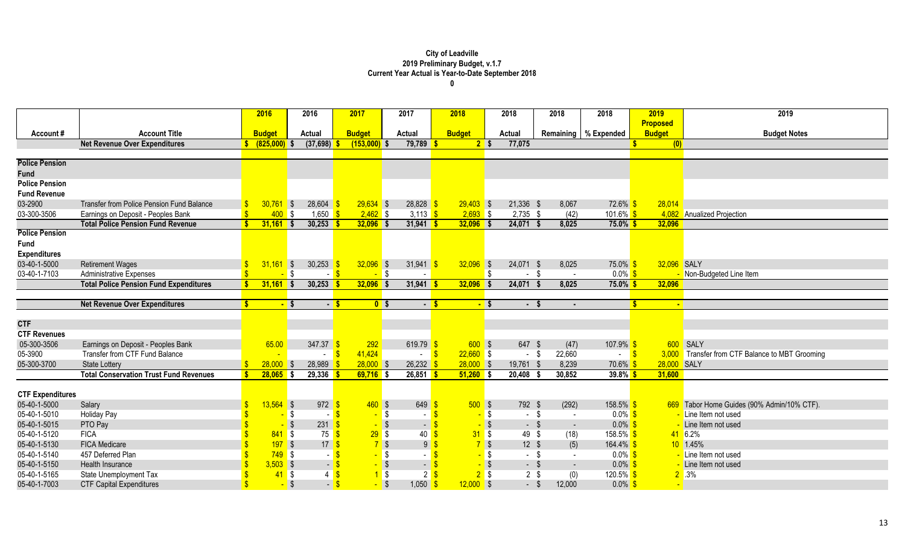|                                      |                                                                                 | 2016                    | 2016                      | 2017                      | 2017       |                              | 2018                      |                   | 2018                    | 2018          | 2018                   |            | 2019            | 2019                                            |
|--------------------------------------|---------------------------------------------------------------------------------|-------------------------|---------------------------|---------------------------|------------|------------------------------|---------------------------|-------------------|-------------------------|---------------|------------------------|------------|-----------------|-------------------------------------------------|
|                                      |                                                                                 |                         |                           |                           |            |                              |                           |                   |                         |               |                        |            | <b>Proposed</b> |                                                 |
| Account#                             | <b>Account Title</b>                                                            | <b>Budget</b>           | <b>Actual</b>             | <b>Budget</b>             | Actual     |                              | <b>Budget</b>             |                   | Actual                  |               | Remaining   % Expended |            | <b>Budget</b>   | <b>Budget Notes</b>                             |
|                                      | <b>Net Revenue Over Expenditures</b>                                            | $(825,000)$ \$          | (37,698)                  | $(153,000)$ \$            |            | 79,789                       |                           | 2 <sup>5</sup>    | 77,075                  |               |                        |            | (0)             |                                                 |
|                                      |                                                                                 |                         |                           |                           |            |                              |                           |                   |                         |               |                        |            |                 |                                                 |
| <b>Police Pension</b>                |                                                                                 |                         |                           |                           |            |                              |                           |                   |                         |               |                        |            |                 |                                                 |
| <b>Fund</b><br><b>Police Pension</b> |                                                                                 |                         |                           |                           |            |                              |                           |                   |                         |               |                        |            |                 |                                                 |
| <b>Fund Revenue</b>                  |                                                                                 |                         |                           |                           |            |                              |                           |                   |                         |               |                        |            |                 |                                                 |
|                                      |                                                                                 |                         |                           |                           |            |                              |                           |                   |                         |               |                        |            |                 |                                                 |
| 03-2900<br>03-300-3506               | Transfer from Police Pension Fund Balance<br>Earnings on Deposit - Peoples Bank | $30,761$ \$<br>$400$ \$ | $28,604$ \$<br>$1,650$ \$ | $29,634$ \$<br>$2,462$ \$ |            | 28,828<br>3,113 $\sqrt{s}$   | $29,403$ \$<br>$2,693$ \$ |                   | 21,336 \$<br>$2,735$ \$ | 8,067<br>(42) | 72.6% \$<br>101.6% \$  |            | 28,014          |                                                 |
|                                      | <b>Total Police Pension Fund Revenue</b>                                        |                         | $30,253$ \$               | $32,096$ \$               |            |                              | $32,096$ \$               |                   | 24,071 \$               | 8,025         | $75.0\%$ \$            |            |                 | 4,082 Anualized Projection                      |
| <b>Police Pension</b>                |                                                                                 | $31,161$ \$             |                           |                           |            | $31,941$ \$                  |                           |                   |                         |               |                        |            | 32,096          |                                                 |
| <b>Fund</b>                          |                                                                                 |                         |                           |                           |            |                              |                           |                   |                         |               |                        |            |                 |                                                 |
| <b>Expenditures</b>                  |                                                                                 |                         |                           |                           |            |                              |                           |                   |                         |               |                        |            |                 |                                                 |
| 03-40-1-5000                         | <b>Retirement Wages</b>                                                         | $31,161$ \$             | $30,253$ \$               | $32,096$ \$               |            | 31,941<br>S                  | $32,096$ \$               |                   | 24,071 \$               | 8,025         | $75.0\%$               |            | 32,096 SALY     |                                                 |
| 03-40-1-7103                         | <b>Administrative Expenses</b>                                                  |                         | $-$ \$<br>$-$ \$          |                           | $-$ \$     |                              |                           | \$                | $-$ \$                  | $\sim$        | $0.0\%$ \$             |            |                 | - Non-Budgeted Line Item                        |
|                                      | <b>Total Police Pension Fund Expenditures</b>                                   | 31,161                  | $30,253$ \$               | $32,096$ \$               |            | $31,941$ \$                  | $32,096$ \$               |                   | 24,071                  | 8,025         | 75.0% \$               |            | 32,096          |                                                 |
|                                      |                                                                                 |                         |                           |                           |            |                              |                           |                   |                         |               |                        |            |                 |                                                 |
|                                      | <b>Net Revenue Over Expenditures</b>                                            |                         | $-5$<br>$-5$              | 0 <sup>5</sup>            |            | $-5$                         |                           | $-$ \$            | $-$ \$                  |               |                        | Ŝ          | $\sim$          |                                                 |
|                                      |                                                                                 |                         |                           |                           |            |                              |                           |                   |                         |               |                        |            |                 |                                                 |
| <b>CTF</b>                           |                                                                                 |                         |                           |                           |            |                              |                           |                   |                         |               |                        |            |                 |                                                 |
| <b>CTF Revenues</b>                  |                                                                                 |                         |                           |                           |            |                              |                           |                   |                         |               |                        |            |                 |                                                 |
| 05-300-3506                          | Earnings on Deposit - Peoples Bank                                              | 65.00                   | 347.37                    | 292                       |            | 619.79                       | 600S                      |                   | 647 \$                  | (47)          | 107.9%                 |            |                 | 600 SALY                                        |
| 05-3900                              | Transfer from CTF Fund Balance                                                  |                         |                           | 41,424                    |            | $\sqrt{3}$<br>$\blacksquare$ | $22,660$ \$               |                   | $-$ \$                  | 22,660        | $\sim$                 | $\sqrt{S}$ |                 | 3,000 Transfer from CTF Balance to MBT Grooming |
| 05-300-3700                          | <b>State Lottery</b>                                                            | $28,000$ \$             | 28,989                    | $28,000$ \$               |            | 26,232                       | $28,000$ \$               |                   | 19,761 \$               | 8,239         | $70.6\%$ \$            |            | 28,000 SALY     |                                                 |
|                                      | <b>Total Conservation Trust Fund Revenues</b>                                   | $28,065$ \$             | 29,336                    | $69,716$ \$               |            | $26,851$ \$                  | $51,260$ \$               |                   | $20,408$ \$             | 30,852        | $39.8\%$ \$            |            | 31,600          |                                                 |
|                                      |                                                                                 |                         |                           |                           |            |                              |                           |                   |                         |               |                        |            |                 |                                                 |
| <b>CTF Expenditures</b>              |                                                                                 |                         |                           |                           |            |                              |                           |                   |                         |               |                        |            |                 |                                                 |
| 05-40-1-5000                         | Salary                                                                          | $13,564$ \$             | $972$ \$                  | $1460$ \$                 |            | 649                          | 500S                      |                   | 792 \$                  | (292)         | 158.5%                 |            |                 | 669 Tabor Home Guides (90% Admin/10% CTF).      |
| 05-40-1-5010                         | <b>Holiday Pay</b>                                                              |                         | l \$<br>$\blacksquare$    |                           | <b>S</b>   |                              |                           | <mark>-</mark> \$ | $-$ \$                  | $\sim$        | $0.0\%$ \$             |            |                 | - Line Item not used                            |
| 05-40-1-5015                         | PTO Pay                                                                         |                         | $231 - $$                 |                           | $\sqrt{3}$ |                              |                           | $-$ \$            | $-$ \$                  | $\sim$        | $0.0\%$                |            |                 | - Line Item not used                            |
| 05-40-1-5120                         | <b>FICA</b>                                                                     | $841$ \$                | $75$ \$                   | $29$ \$                   |            | 40                           | 31S                       |                   | 49 \$                   | (18)          | $158.5\%$ \$           |            |                 | 41 6.2%                                         |
| 05-40-1-5130                         | <b>FICA Medicare</b>                                                            | $197$ \$                | 17 <sup>8</sup>           | $7$ \$                    |            | 9                            |                           | $7$ \$            | $12 \quad $$            | (5)           | 164.4%                 |            |                 | $10$ 1.45%                                      |
| 05-40-1-5140                         | 457 Deferred Plan                                                               | $749$ \$                | - 8                       |                           | $-$ \$     |                              |                           | <mark>-</mark> \$ | $-$ \$                  | $\sim$        | $0.0\%$ \$             |            |                 | - Line Item not used                            |
| 05-40-1-5150                         | Health Insurance                                                                | $3,503$ \$              | $-$ \$                    |                           | $\sqrt{3}$ | $\sim$                       |                           | $-$ \$            | $-$ \$                  | $\sim$        | $0.0\%$                |            |                 | - Line Item not used                            |
| 05-40-1-5165                         | State Unemployment Tax                                                          | 41S                     | $4 \overline{\text{S}}$   |                           | $1$ \$     | 2 <sup>5</sup>               |                           | $2$ \$            | $2 \sqrt$               | (0)           | 120.5% \$              |            |                 | $2^{\circ}$ .3%                                 |
| 05-40-1-7003                         | <b>CTF Capital Expenditures</b>                                                 |                         | $-$ \$<br>$-$ \$          |                           | $\sqrt{3}$ | 1,050                        | $12,000$ \$               |                   | $-$ \$                  | 12,000        | $0.0\%$ \$             |            |                 |                                                 |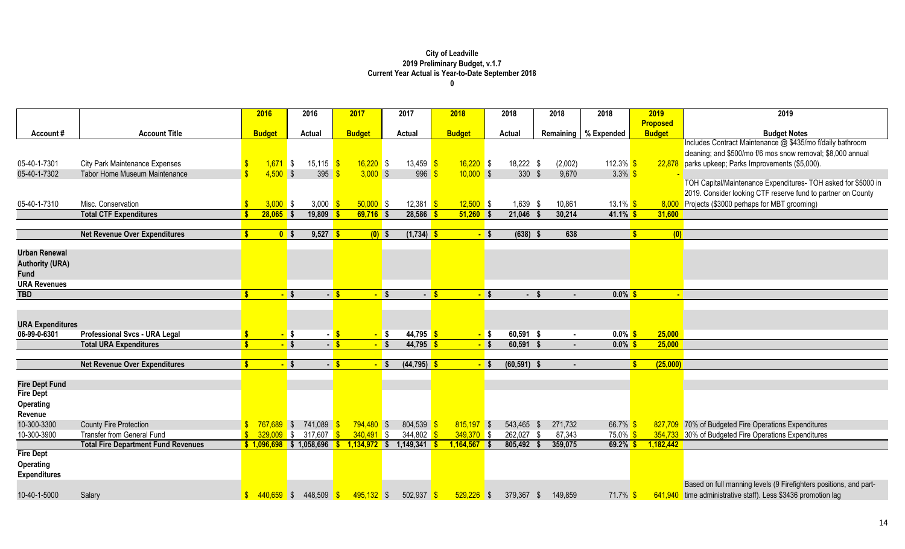|                         |                                            | 2016               | 2016                         | 2017           | 2017                     | 2018               |        | 2018           | 2018            | 2018                              | 2019                 | 2019                                                              |
|-------------------------|--------------------------------------------|--------------------|------------------------------|----------------|--------------------------|--------------------|--------|----------------|-----------------|-----------------------------------|----------------------|-------------------------------------------------------------------|
|                         |                                            |                    |                              |                |                          |                    |        |                |                 |                                   | <b>Proposed</b>      |                                                                   |
| Account#                | <b>Account Title</b>                       | <b>Budget</b>      | <b>Actual</b>                | <b>Budget</b>  | <b>Actual</b>            | <b>Budget</b>      |        | <b>Actual</b>  |                 | Remaining   % Expended            | <b>Budget</b>        | <b>Budget Notes</b>                                               |
|                         |                                            |                    |                              |                |                          |                    |        |                |                 |                                   |                      | Includes Contract Maintenance @ \$435/mo f/daily bathroom         |
|                         |                                            |                    |                              |                |                          |                    |        |                |                 |                                   |                      | cleaning; and \$500/mo f/6 mos snow removal; \$8,000 annual       |
| 05-40-1-7301            | <b>City Park Maintenance Expenses</b>      | $1,671$ \$         | $15,115$ \$                  | $16,220$ \$    | 13,459 $\frac{1}{5}$     | $16,220$ \$        |        | 18,222 \$      | (2,002)         | 112.3% \$                         | 22,878               | parks upkeep; Parks Improvements (\$5,000).                       |
| 05-40-1-7302            | <b>Tabor Home Museum Maintenance</b>       | $4,500$ \$         | 395 $\frac{1}{5}$            | $3,000$ \$     | 996                      | $10,000$ \$        |        | $330$ \$       | 9,670           | $3.3\%$ \$                        |                      |                                                                   |
|                         |                                            |                    |                              |                |                          |                    |        |                |                 |                                   |                      | TOH Capital/Maintenance Expenditures- TOH asked for \$5000 in     |
|                         |                                            |                    |                              |                |                          |                    |        |                |                 |                                   |                      | 2019. Consider looking CTF reserve fund to partner on County      |
| 05-40-1-7310            | Misc. Conservation                         | $3,000$ \$         | 3,000 $\frac{1}{3}$          | $50,000$ \$    | 12,381                   | $12,500$ \$        |        | 1,639 \$       | 10,861          | 13.1% <mark>\$</mark>             | 8,000                | Projects (\$3000 perhaps for MBT grooming)                        |
|                         | <b>Total CTF Expenditures</b>              | $28,065$ \$        | $19,809$ \$                  | $69,716$ \$    | $28,586$ \$              | $51,260$ \$        |        | $21,046$ \$    | 30,214          | 41.1% $\frac{\text{S}}{\text{S}}$ | 31,600               |                                                                   |
|                         |                                            |                    |                              |                |                          |                    |        |                |                 |                                   |                      |                                                                   |
|                         | <b>Net Revenue Over Expenditures</b>       |                    | $9,527$ \$<br>0 <sup>5</sup> | $(0)$ \$       | $(1, 734)$ \$            |                    | $-$ \$ | $(638)$ \$     | 638             |                                   | (0)<br>S             |                                                                   |
|                         |                                            |                    |                              |                |                          |                    |        |                |                 |                                   |                      |                                                                   |
| <b>Urban Renewal</b>    |                                            |                    |                              |                |                          |                    |        |                |                 |                                   |                      |                                                                   |
| <b>Authority (URA)</b>  |                                            |                    |                              |                |                          |                    |        |                |                 |                                   |                      |                                                                   |
| <b>Fund</b>             |                                            |                    |                              |                |                          |                    |        |                |                 |                                   |                      |                                                                   |
| <b>URA Revenues</b>     |                                            |                    |                              |                |                          |                    |        |                |                 |                                   |                      |                                                                   |
| <b>TBD</b>              |                                            |                    | $-$ \$                       | $-5$           | $-$ \$                   | $-5$               | $-$ \$ | $-5$           |                 | $0.0\%$ \$                        |                      |                                                                   |
|                         |                                            |                    |                              |                |                          |                    |        |                |                 |                                   |                      |                                                                   |
| <b>URA Expenditures</b> |                                            |                    |                              |                |                          |                    |        |                |                 |                                   |                      |                                                                   |
| 06-99-0-6301            | <b>Professional Svcs - URA Legal</b>       |                    | <mark>-</mark> \$            | $-5$           | 44,795 \$<br>$-$ \$      |                    | $-$ \$ | 60,591 \$      | $\sim$          | $0.0\%$ \$                        | 25,000               |                                                                   |
|                         | <b>Total URA Expenditures</b>              |                    | $-$ \$                       | $-5$<br>- \$   | $44,795$ \$              |                    | $-$ \$ | 60,591 \$      |                 | $0.0\%$ \$                        | 25,000               |                                                                   |
|                         |                                            |                    |                              |                |                          |                    |        |                |                 |                                   |                      |                                                                   |
|                         | <b>Net Revenue Over Expenditures</b>       |                    | $-$ \$                       | $-$ \$         | $(44, 795)$ \$<br>$-$ \$ |                    | $-$ \$ | $(60, 591)$ \$ |                 |                                   | (25,000)<br><b>S</b> |                                                                   |
|                         |                                            |                    |                              |                |                          |                    |        |                |                 |                                   |                      |                                                                   |
| <b>Fire Dept Fund</b>   |                                            |                    |                              |                |                          |                    |        |                |                 |                                   |                      |                                                                   |
| <b>Fire Dept</b>        |                                            |                    |                              |                |                          |                    |        |                |                 |                                   |                      |                                                                   |
| <b>Operating</b>        |                                            |                    |                              |                |                          |                    |        |                |                 |                                   |                      |                                                                   |
| Revenue                 |                                            |                    |                              |                |                          |                    |        |                |                 |                                   |                      |                                                                   |
| 10-300-3300             | <b>County Fire Protection</b>              | $767,689$ \$       | 741,089                      | $794,480$ \$   | 804,539                  | $815,197$ \$       |        | 543,465        | 271,732<br>- \$ | 66.7%                             |                      | 827,709 70% of Budgeted Fire Operations Expenditures              |
| 10-300-3900             | <b>Transfer from General Fund</b>          | $329,009$ \$       | 317,607                      | $340,491$ \$   | 344,802                  | $349,370$ \$       |        | 262,027        | 87,343          | 75.0% <mark>\$</mark>             |                      | 354,733 30% of Budgeted Fire Operations Expenditures              |
|                         | <b>Total Fire Department Fund Revenues</b> |                    | $$1,096,698$ \$ 1,058,696 \$ | $1,134,972$ \$ | 1,149,341                | $1,164,567$ \$     |        | 805,492 \$     | 359,075         | $69.2\%$ \$                       | 1,182,442            |                                                                   |
| <b>Fire Dept</b>        |                                            |                    |                              |                |                          |                    |        |                |                 |                                   |                      |                                                                   |
| <b>Operating</b>        |                                            |                    |                              |                |                          |                    |        |                |                 |                                   |                      |                                                                   |
| <b>Expenditures</b>     |                                            |                    |                              |                |                          |                    |        |                |                 |                                   |                      |                                                                   |
|                         |                                            |                    |                              |                |                          |                    |        |                |                 |                                   |                      | Based on full manning levels (9 Firefighters positions, and part- |
| 10-40-1-5000            | Salary                                     | $440,659$ \$<br>\$ | $448,509$ \$                 | $495,132$ \$   | 502,937                  | $529,226$ \$<br>-S |        | 379,367 \$     | 149,859         | $71.7\%$ \$                       |                      | 641,940 time administrative staff). Less \$3436 promotion lag     |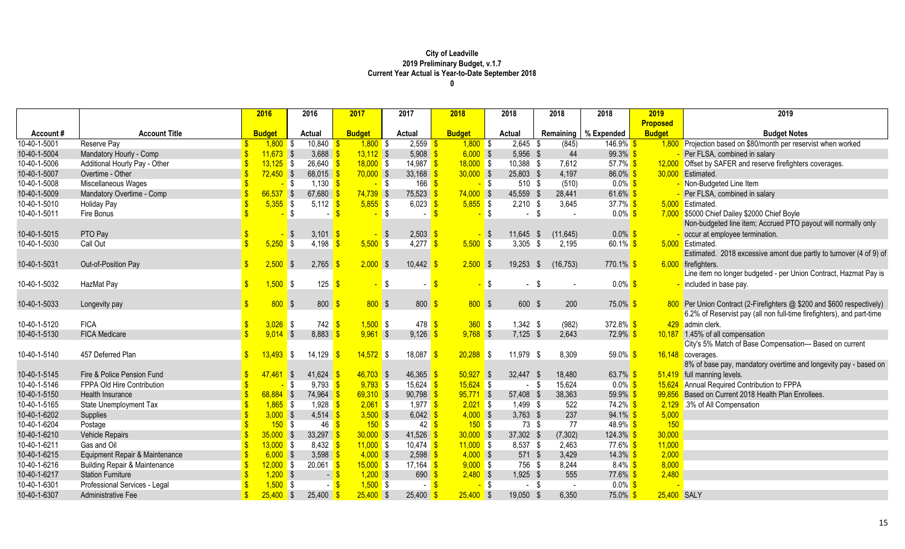|              |                                          | 2016                             | 2016                            | 2017          | 2017                     | 2018          | 2018                  | 2018             | 2018                   | 2019            | 2019                                                                   |
|--------------|------------------------------------------|----------------------------------|---------------------------------|---------------|--------------------------|---------------|-----------------------|------------------|------------------------|-----------------|------------------------------------------------------------------------|
|              |                                          |                                  |                                 |               |                          |               |                       |                  |                        | <b>Proposed</b> |                                                                        |
| Account#     | <b>Account Title</b>                     | <b>Budget</b>                    | <b>Actual</b>                   | <b>Budget</b> | <b>Actual</b>            | <b>Budget</b> | Actual                |                  | Remaining   % Expended | <b>Budget</b>   | <b>Budget Notes</b>                                                    |
| 10-40-1-5001 | Reserve Pay                              | $1,800$ \$<br>$\mathbf{\hat{S}}$ | 10,840                          | $1,800$ \$    | $2,559$ \$               | $1,800$ \$    | $2,645$ \$            | (845)            | $146.9\%$              |                 | 1,800 Projection based on \$80/month per reservist when worked         |
| 10-40-1-5004 | Mandatory Hourly - Comp                  | $11,673$ \$                      | $3,688$ $\sqrt{9}$              | $13,112$ \$   | $5,908$ \$               | $6,000$ \$    | 5,956 \$              | 44               | $99.3\%$ \$            |                 | Per FLSA, combined in salary                                           |
| 10-40-1-5006 | Additional Hourly Pay - Other            | $13,125$ \$                      | $26,640$ \$                     | $18,000$ \$   | 14,987 $\frac{\$}{}$     | $18,000$ \$   | 10,388 \$             | 7,612            | 57.7% \$               |                 | 12,000 Offset by SAFER and reserve firefighters coverages.             |
| 10-40-1-5007 | Overtime - Other                         | $72,450$ \$                      | 68,015                          | $70,000$ \$   | 33,168                   | $30,000$ \$   | 25,803 \$             | 4,197            | 86.0% \$               |                 | 30,000 Estimated.                                                      |
| 10-40-1-5008 | Miscellaneous Wages                      |                                  | $1,130$ \$<br><mark>-</mark> \$ | $-$ \$        | $166$ \$                 |               | $-$ \$                | 510 \$<br>(510)  | $0.0\%$ \$             |                 | - Non-Budgeted Line Item                                               |
| 10-40-1-5009 | Mandatory Overtime - Comp                | $66,537$ \$                      | 67,680 $\frac{9}{5}$            | $74,739$ \$   | 75,523                   | $74,000$ \$   | 45,559 \$             | 28,441           | $61.6\%$               |                 | Per FLSA, combined in salary                                           |
| 10-40-1-5010 | <b>Holiday Pay</b>                       | $5,355$ \$                       | 5,112 $\sqrt{s}$                | $5,855$ \$    | $6,023$ \$               | $5,855$ \$    | $2,210$ \$            | 3,645            | 37.7% $$$              |                 | 5,000 Estimated.                                                       |
| 10-40-1-5011 | Fire Bonus                               |                                  | \$                              |               | \$<br>$\sim$             |               | $\sqrt{3}$            | $-$ \$           | $0.0\%$ \$             |                 | 7,000 \$5000 Chief Dailey \$2000 Chief Boyle                           |
|              |                                          |                                  |                                 |               |                          |               |                       |                  |                        |                 | Non-budgeted line item; Accrued PTO payout will normally only          |
| 10-40-1-5015 | PTO Pay                                  |                                  | 3,101 \$<br>IS-                 |               | $2,503$ \$<br><b>S</b>   |               | $11,645$ \$<br>$-$ \$ | (11, 645)        | $0.0\%$ \$             |                 | occur at employee termination.                                         |
| 10-40-1-5030 | Call Out                                 | $5,250$ \$                       | 4,198                           | $5,500$ \$    | $4,277$ \$               | $5,500$ \$    | $3,305$ \$            | 2,195            | 60.1% \$               |                 | 5,000 Estimated.                                                       |
|              |                                          |                                  |                                 |               |                          |               |                       |                  |                        |                 | Estimated. 2018 excessive amont due partly to turnover (4 of 9) of     |
| 10-40-1-5031 | Out-of-Position Pay                      | 2,500<br>$\mathbf{\hat{s}}$      | 2,765<br>$\sqrt{3}$             | $2,000$ \$    | 10,442                   | $2,500$ \$    | $19,253$ \$           | (16, 753)        | $770.1\%$ \$           |                 | 6,000 firefighters.                                                    |
|              |                                          |                                  |                                 |               |                          |               |                       |                  |                        |                 | Line item no longer budgeted - per Union Contract, Hazmat Pay is       |
| 10-40-1-5032 | HazMat Pay                               | $\mathbf{\$}$<br>$1,500$ \$      | 125                             |               | \$<br>$\sim$             | $\mathbf{\$}$ | $-$ \$                | $-$ \$           | $0.0\%$ \$             |                 | included in base pay.                                                  |
|              |                                          |                                  |                                 |               |                          |               |                       |                  |                        |                 |                                                                        |
| 10-40-1-5033 | Longevity pay                            | 800                              | $\sqrt{3}$<br>800               | 800S          | 800                      | 800S          |                       | 600 \$<br>200    | $75.0\%$ \$            |                 | 800 Per Union Contract (2-Firefighters @ \$200 and \$600 respectively) |
|              |                                          |                                  |                                 |               |                          |               |                       |                  |                        |                 | 6.2% of Reservist pay (all non full-time firefighters), and part-time  |
| 10-40-1-5120 | <b>FICA</b>                              | $3,026$ \$                       | $742$ \$                        | $1,500$ \$    | $478$ \$                 | $360$ \$      | $1,342$ \$            | (982)            | 372.8% \$              |                 | 429 admin clerk.                                                       |
| 10-40-1-5130 | <b>FICA Medicare</b>                     | $9,014$ \$                       | 8,883                           | $9,961$ \$    | 9,126                    | $9,768$ \$    | $7,125$ \$            | 2,643            | $72.9\%$ \$            |                 | 10,187 1.45% of all compensation                                       |
|              |                                          |                                  |                                 |               |                          |               |                       |                  |                        |                 | City's 5% Match of Base Compensation--- Based on current               |
| 10-40-1-5140 | 457 Deferred Plan                        | 13,493                           | 14,129<br>S,                    | $14,572$ \$   | 18,087                   | $20,288$ \$   | 11,979 \$             | 8,309            | 59.0% \$               |                 | 16,148 coverages.                                                      |
|              |                                          |                                  |                                 |               |                          |               |                       |                  |                        |                 | 8% of base pay, mandatory overtime and longevity pay - based on        |
| 10-40-1-5145 | Fire & Police Pension Fund               | 47.461                           | 41,624<br>$\sqrt{3}$            | $46,703$ \$   | 46,365                   | $50,927$ \$   | 32,447 \$             | 18,480           | $63.7\%$               |                 | 51,419 full manning levels.                                            |
| 10-40-1-5146 | FPPA Old Hire Contribution               |                                  | 9,793<br>$\sqrt{3}$             | $9,793$ \$    | $15,624$ \$              | $15,624$ \$   |                       | 15,624<br>$-$ \$ | $0.0\%$ \$             |                 | 15,624 Annual Required Contribution to FPPA                            |
| 10-40-1-5150 | Health Insurance                         | $68,884$ \$                      | 74,964                          | $69,310$ \$   | $90,798$ \$              | $95,771$ \$   | 57,408 \$             | 38,363           | $59.9\%$ \$            | 99,856          | Based on Current 2018 Health Plan Enrollees.                           |
| 10-40-1-5165 | State Unemployment Tax                   | $1,865$ \$                       | $1,928$ \$                      | $2,061$ \$    | $1,977$ \$               | $2,021$ \$    | 1,499 \$              | 522              | 74.2% \$               |                 | 2,129 .3% of All Compensation                                          |
| 10-40-1-6202 | Supplies                                 | $3,000$ \$                       | $4,514$ \$                      | $3,500$ \$    | $6,042$ \$               | $4,000$ \$    | $3,763$ \$            | 237              | $94.1\%$ \$            | 5,000           |                                                                        |
| 10-40-1-6204 | Postage                                  | 150S                             | 46                              | 150S          | $42 \overline{\text{S}}$ | 150S          |                       | 77<br>73 \$      | $48.9\%$ \$            | 150             |                                                                        |
| 10-40-1-6210 | <b>Vehicle Repairs</b>                   | $35,000$ \$                      | $33,297$ \$                     | $30,000$ \$   | 41,526                   | $30,000$ \$   | 37,302 \$             | (7, 302)         | $124.3\%$ \$           | 30,000          |                                                                        |
| 10-40-1-6211 | Gas and Oil                              | $13,000$ \$                      | $8,432$ \$                      | $11,000$ \$   | $10,474$ \$              | $11,000$ \$   | 8,537 \$              | 2,463            | 77.6% \$               | 11,000          |                                                                        |
| 10-40-1-6215 | Equipment Repair & Maintenance           | $6,000$ \$                       | 3,598 $\frac{9}{5}$             | $4,000$ \$    | 2,598                    | $4,000$ \$    |                       | 571 \$<br>3,429  | $14.3\%$ \$            | 2,000           |                                                                        |
| 10-40-1-6216 | <b>Building Repair &amp; Maintenance</b> | $12,000$ \$                      | $20,061$ \$                     | $15,000$ \$   | $17,164$ \$              | $9,000$ \$    |                       | 756 \$<br>8,244  | $8.4\%$ \$             | 8,000           |                                                                        |
| 10-40-1-6217 | <b>Station Furniture</b>                 | $1,200$ \$                       | $-$ \$                          | $1,200$ \$    | 690                      | $2,480$ \$    | 1,925 \$              | 555              | 77.6% \$               | 2,480           |                                                                        |
| 10-40-1-6301 | Professional Services - Legal            | $1,500$ \$                       |                                 | $1,500$ \$    | $\sim$ 1                 |               | <mark>-</mark> \$     | $-$ \$<br>$\sim$ | $0.0\%$ \$             |                 |                                                                        |
| 10-40-1-6307 | Administrative Fee                       | $25,400$ \$                      | 25,400                          | $25,400$ \$   | 25,400                   | $25,400$ \$   | 19,050 \$             | 6,350            | $75.0\%$ \$            | 25,400 SALY     |                                                                        |
|              |                                          |                                  |                                 |               |                          |               |                       |                  |                        |                 |                                                                        |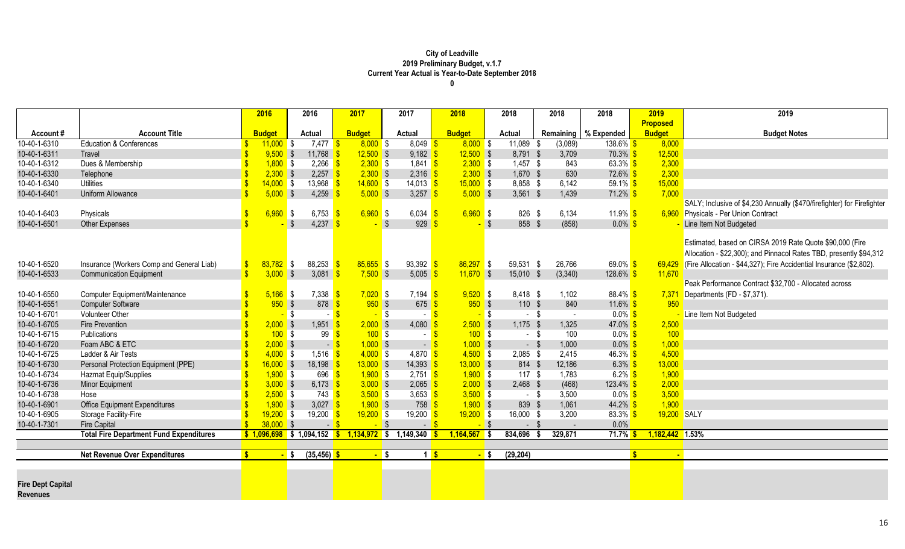|                          |                                                | 2016          | 2016                                                                                                                                                                                                                                                                                                                                                                                                                                                                                                            | 2017              | 2017                              | 2018          |                | 2018          | 2018                     | 2018                   | 2019               | 2019                                                                         |
|--------------------------|------------------------------------------------|---------------|-----------------------------------------------------------------------------------------------------------------------------------------------------------------------------------------------------------------------------------------------------------------------------------------------------------------------------------------------------------------------------------------------------------------------------------------------------------------------------------------------------------------|-------------------|-----------------------------------|---------------|----------------|---------------|--------------------------|------------------------|--------------------|------------------------------------------------------------------------------|
|                          |                                                |               |                                                                                                                                                                                                                                                                                                                                                                                                                                                                                                                 |                   |                                   |               |                |               |                          |                        | <b>Proposed</b>    |                                                                              |
| Account#                 | <b>Account Title</b>                           | <b>Budget</b> | <b>Actual</b>                                                                                                                                                                                                                                                                                                                                                                                                                                                                                                   | <b>Budget</b>     | <b>Actual</b>                     | <b>Budget</b> |                | <b>Actual</b> |                          | Remaining   % Expended | <b>Budget</b>      | <b>Budget Notes</b>                                                          |
| 10-40-1-6310             | <b>Education &amp; Conferences</b>             | $11,000$ \$   | $7,477$ \$                                                                                                                                                                                                                                                                                                                                                                                                                                                                                                      | $8,000$ \$        | $8,049$ \$                        | $8,000$ \$    |                | $11,089$ \$   | (3,089)                  | $138.6\%$ \$           | 8,000              |                                                                              |
| 10-40-1-6311             | Travel                                         | $9,500$ \$    | $11,768$ \$                                                                                                                                                                                                                                                                                                                                                                                                                                                                                                     | $12,500$ \$       | $9,182$ \$                        | $12,500$ \$   |                | 8,791 \$      | 3,709                    | $70.3\%$ \$            | 12,500             |                                                                              |
| 10-40-1-6312             | Dues & Membership                              | $1,800$ \$    | 2,266                                                                                                                                                                                                                                                                                                                                                                                                                                                                                                           | $2,300$ \$        | 1,841 $\frac{\ }{\ }$             | $2,300$ \$    |                | $1,457$ \$    | 843                      | $63.3\%$ \$            | 2,300              |                                                                              |
| 10-40-1-6330             | Telephone                                      | $2,300$ \$    | $2,257$ \$                                                                                                                                                                                                                                                                                                                                                                                                                                                                                                      | $2,300$ \$        | $2,316$ \$                        | $2,300$ \$    |                | 1,670 \$      | 630                      | 72.6% \$               | 2,300              |                                                                              |
| 10-40-1-6340             | <b>Utilities</b>                               | $14,000$ \$   | 13,968                                                                                                                                                                                                                                                                                                                                                                                                                                                                                                          | $14,600$ \$       | $14,013$ \$                       | $15,000$ \$   |                | 8,858 \$      | 6,142                    | $59.1\%$ \$            | 15,000             |                                                                              |
| 10-40-1-6401             | Uniform Allowance                              | $5,000$ \$    | 4,259                                                                                                                                                                                                                                                                                                                                                                                                                                                                                                           | $5,000$ \$        | 3,257 $\frac{\epsilon}{2}$        | $5,000$ \$    |                | $3,561$ \$    | 1,439                    | $71.2\%$ \$            | 7,000              |                                                                              |
|                          |                                                |               |                                                                                                                                                                                                                                                                                                                                                                                                                                                                                                                 |                   |                                   |               |                |               |                          |                        |                    | SALY; Inclusive of \$4,230 Annually (\$470/firefighter) for Firefighter      |
| 10-40-1-6403             | Physicals                                      | $6,960$ \$    | 6,753 \$                                                                                                                                                                                                                                                                                                                                                                                                                                                                                                        | $6,960$ \$        | $6,034$ \$                        | $6,960$ \$    |                | 826 \$        | 6,134                    | $11.9\%$ \$            |                    | 6,960 Physicals - Per Union Contract                                         |
| 10-40-1-6501             | <b>Other Expenses</b>                          |               | <b>S</b><br>4,237 $\frac{1}{5}$                                                                                                                                                                                                                                                                                                                                                                                                                                                                                 | $-$ \$            | $929$ \$                          |               | $\sqrt{3}$     | 858 \$        | (858)                    | $0.0\%$ \$             |                    | Line Item Not Budgeted                                                       |
|                          |                                                |               |                                                                                                                                                                                                                                                                                                                                                                                                                                                                                                                 |                   |                                   |               |                |               |                          |                        |                    |                                                                              |
|                          |                                                |               |                                                                                                                                                                                                                                                                                                                                                                                                                                                                                                                 |                   |                                   |               |                |               |                          |                        |                    | Estimated, based on CIRSA 2019 Rate Quote \$90,000 (Fire                     |
|                          |                                                |               |                                                                                                                                                                                                                                                                                                                                                                                                                                                                                                                 |                   |                                   |               |                |               |                          |                        |                    | Allocation - \$22,300); and Pinnacol Rates TBD, presently \$94,312           |
| 10-40-1-6520             | Insurance (Workers Comp and General Liab)      | $83,782$ \$   | $88,253$ $\frac{\text{}}{\text{}}\frac{\text{}}{\text{}}\frac{\text{}}{\text{}}\frac{\text{}}{\text{}}\frac{\text{}}{\text{}}\frac{\text{}}{\text{}}\frac{\text{}}{\text{}}\frac{\text{}}{\text{}}\frac{\text{}}{\text{}}\frac{\text{}}{\text{}}\frac{\text{}}{\text{}}\frac{\text{}}{\text{}}\frac{\text{}}{\text{}}\frac{\text{}}{\text{}}\frac{\text{}}{\text{}}\frac{\text{}}{\text{}}\frac{\text{}}{\text{}}\frac{\text{}}{\text{}}\frac{\text{}}{\text{}}\frac{\text{}}{\text{}}\frac{\text{}}{\text{}}\$ | $85,655$ \$       | $93,392$ \$                       | $86,297$ \$   |                | 59,531 \$     | 26,766                   | 69.0% $$$              |                    | $69,429$ (Fire Allocation - \$44,327); Fire Accidential Insurance (\$2,802). |
| 10-40-1-6533             | <b>Communication Equipment</b>                 | $3,000$ \$    | 3,081                                                                                                                                                                                                                                                                                                                                                                                                                                                                                                           | $7,500$ \$        | 5,005                             | $11,670$ \$   |                | 15,010 \$     | (3,340)                  | $128.6\%$ \$           | 11,670             |                                                                              |
|                          |                                                |               |                                                                                                                                                                                                                                                                                                                                                                                                                                                                                                                 |                   |                                   |               |                |               |                          |                        |                    | Peak Performance Contract \$32,700 - Allocated across                        |
| 10-40-1-6550             | Computer Equipment/Maintenance                 | $5,166$ \$    | $7,338$ $\frac{\$}{\$}$                                                                                                                                                                                                                                                                                                                                                                                                                                                                                         | $7,020$ \$        | $7,194$ \$                        | $9,520$ \$    |                | 8,418 \$      | 1,102                    | $88.4\%$ \$            |                    | 7,371 Departments (FD - \$7,371).                                            |
| 10-40-1-6551             | <b>Computer Software</b>                       | 950S          | $878$ \$                                                                                                                                                                                                                                                                                                                                                                                                                                                                                                        | $950$ \$          | $675$ \$                          | $950$ \$      |                | 110 \$        | 840                      | 11.6% $$$              | 950                |                                                                              |
| 10-40-1-6701             | <b>Volunteer Other</b>                         |               | <mark>-</mark> \$                                                                                                                                                                                                                                                                                                                                                                                                                                                                                               | $-$ \$            | $\sim$                            |               | $-$ \$         | $-$ \$        | $\sim$                   | $0.0\%$ \$             |                    | Line Item Not Budgeted                                                       |
| 10-40-1-6705             | <b>Fire Prevention</b>                         | $2,000$ \$    | $1,951$ \$                                                                                                                                                                                                                                                                                                                                                                                                                                                                                                      | $2,000$ \$        | 4,080 $\frac{1}{5}$               | $2,500$ \$    |                | $1,175$ \$    | 1,325                    | $47.0\%$ \$            | 2,500              |                                                                              |
| 10-40-1-6715             | Publications                                   | $100$ \$      | $99 \frac{\text{S}}{\text{S}}$                                                                                                                                                                                                                                                                                                                                                                                                                                                                                  | 100S              | $-$ \$                            | $100$ \$      |                | $-$ \$        | 100                      | $0.0\%$ \$             | 100                |                                                                              |
| 10-40-1-6720             | Foam ABC & ETC                                 | $2,000$ \$    | $-$ \$                                                                                                                                                                                                                                                                                                                                                                                                                                                                                                          | $1,000$ \$        | $-5$                              | $1,000$ \$    |                | $-$ \$        | 1,000                    | $0.0\%$ \$             | 1,000              |                                                                              |
| 10-40-1-6725             | Ladder & Air Tests                             | $4,000$ \$    | $1,516$ \$                                                                                                                                                                                                                                                                                                                                                                                                                                                                                                      | $4,000$ \$        | 4,870 $\frac{\text{S}}{\text{S}}$ | $4,500$ \$    |                | $2,085$ \$    | 2,415                    | $46.3\%$ \$            | 4,500              |                                                                              |
| 10-40-1-6730             | Personal Protection Equipment (PPE)            | $16,000$ \$   | $18,198$ \$                                                                                                                                                                                                                                                                                                                                                                                                                                                                                                     | $13,000$ \$       | $14,393$ \$                       | $13,000$ \$   |                | 814 \$        | 12,186                   | $6.3\%$ \$             | 13,000             |                                                                              |
| 10-40-1-6734             | Hazmat Equip/Supplies                          | $1,900$ \$    | $696$ $\frac{\text{}}{\text{}}$                                                                                                                                                                                                                                                                                                                                                                                                                                                                                 | $1,900$ \$        | $2,751$ \$                        | $1,900$ \$    |                | 117S          | 1,783                    | $6.2\%$ \$             | 1,900              |                                                                              |
| 10-40-1-6736             | Minor Equipment                                | $3,000$ \$    | 6,173 \$                                                                                                                                                                                                                                                                                                                                                                                                                                                                                                        | $3,000$ \$        | $2,065$ \$                        | $2,000$ \$    |                | $2,468$ \$    | (468)                    | $123.4\%$ \$           | 2,000              |                                                                              |
| 10-40-1-6738             | Hose                                           | $2,500$ \$    | $743$ $\sqrt{\frac{6}{5}}$                                                                                                                                                                                                                                                                                                                                                                                                                                                                                      | $3,500$ \$        | 3,653 $\frac{\text{S}}{\text{S}}$ | $3,500$ \$    |                | - \$          | 3,500                    | $0.0\%$ \$             | 3,500              |                                                                              |
| 10-40-1-6901             | <b>Office Equipment Expenditures</b>           | $1,900$ \$    | 3,027 \$                                                                                                                                                                                                                                                                                                                                                                                                                                                                                                        | $1,900$ \$        | $758$ \$                          | $1,900$ \$    |                | 839 \$        | 1,061                    | $44.2\%$ \$            | 1,900              |                                                                              |
| 10-40-1-6905             | Storage Facility-Fire                          | $19,200$ \$   | 19,200                                                                                                                                                                                                                                                                                                                                                                                                                                                                                                          | $19,200$ \$       | 19,200                            | $19,200$ \$   |                | 16,000 \$     | 3,200                    | $83.3\%$ \$            | 19,200 SALY        |                                                                              |
| 10-40-1-7301             | <b>Fire Capital</b>                            | 38,000 S      |                                                                                                                                                                                                                                                                                                                                                                                                                                                                                                                 | $\blacksquare$ \$ | $ \frac{8}{3}$                    |               | $-$ \$         | - \$          | $\overline{\phantom{a}}$ | 0.0%                   |                    |                                                                              |
|                          | <b>Total Fire Department Fund Expenditures</b> |               | $$1,096,698$ \$ 1,094,152                                                                                                                                                                                                                                                                                                                                                                                                                                                                                       | $\mathbf{\$}$     | $1,134,972$ \$ 1,149,340          | 1,164,567     | $\blacksquare$ | 834,696       | 329,871<br>- 5           | 71.7%                  | 1,182,442 1.53%    |                                                                              |
|                          |                                                |               |                                                                                                                                                                                                                                                                                                                                                                                                                                                                                                                 |                   |                                   |               |                |               |                          |                        |                    |                                                                              |
|                          | <b>Net Revenue Over Expenditures</b>           | ¢             | $(35, 456)$ \$<br><mark>-</mark> \$                                                                                                                                                                                                                                                                                                                                                                                                                                                                             | $-$ \$            | $\vert$ 1                         |               | $-$ \$         | (29, 204)     |                          |                        | S.<br>$\mathbf{r}$ |                                                                              |
|                          |                                                |               |                                                                                                                                                                                                                                                                                                                                                                                                                                                                                                                 |                   |                                   |               |                |               |                          |                        |                    |                                                                              |
|                          |                                                |               |                                                                                                                                                                                                                                                                                                                                                                                                                                                                                                                 |                   |                                   |               |                |               |                          |                        |                    |                                                                              |
| <b>Fire Dept Capital</b> |                                                |               |                                                                                                                                                                                                                                                                                                                                                                                                                                                                                                                 |                   |                                   |               |                |               |                          |                        |                    |                                                                              |
| <b>Revenues</b>          |                                                |               |                                                                                                                                                                                                                                                                                                                                                                                                                                                                                                                 |                   |                                   |               |                |               |                          |                        |                    |                                                                              |
|                          |                                                |               |                                                                                                                                                                                                                                                                                                                                                                                                                                                                                                                 |                   |                                   |               |                |               |                          |                        |                    |                                                                              |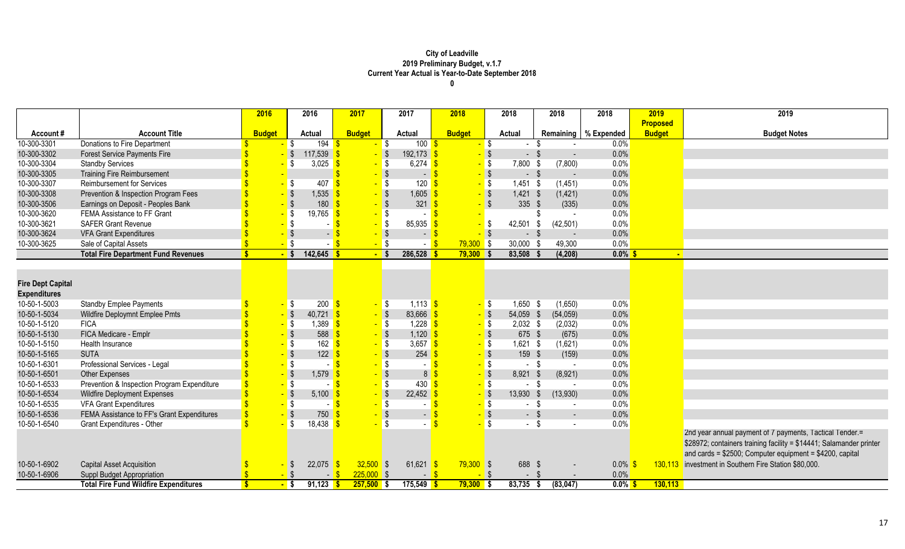|                          |                                              | 2016          | 2016                                                 | 2017              | 2017                         | 2018          |                   | 2018           | 2018                             | 2018                   | 2019            | 2019                                                                |
|--------------------------|----------------------------------------------|---------------|------------------------------------------------------|-------------------|------------------------------|---------------|-------------------|----------------|----------------------------------|------------------------|-----------------|---------------------------------------------------------------------|
|                          |                                              |               |                                                      |                   |                              |               |                   |                |                                  |                        | <b>Proposed</b> |                                                                     |
| Account#                 | <b>Account Title</b>                         | <b>Budget</b> | <b>Actual</b>                                        | <b>Budget</b>     | <b>Actual</b>                | <b>Budget</b> |                   | <b>Actual</b>  |                                  | Remaining   % Expended | <b>Budget</b>   | <b>Budget Notes</b>                                                 |
| 10-300-3301              | Donations to Fire Department                 |               | 194<br>-\$                                           |                   | <b>S</b><br>100              |               | <mark>-</mark> \$ | $\sim$         | - \$                             | 0.0%                   |                 |                                                                     |
| 10-300-3302              | <b>Forest Service Payments Fire</b>          |               | 117,539<br>$-$ \$                                    | $-$ \$            | 192,173                      |               | $-$ \$            | $-$ \$         |                                  | 0.0%                   |                 |                                                                     |
| 10-300-3304              | <b>Standby Services</b>                      |               | 3,025<br><b>S</b>                                    | <mark>-</mark> \$ | 6,274                        |               | $-$ \$            | 7,800          | (7,800)<br>- \$                  | 0.0%                   |                 |                                                                     |
| 10-300-3305              | <b>Training Fire Reimbursement</b>           |               |                                                      |                   | $\sqrt{3}$<br>$\overline{a}$ |               | $-$ \$            | $-$ \$         | $\sim$                           | 0.0%                   |                 |                                                                     |
| 10-300-3307              | <b>Reimbursement for Services</b>            |               | 407<br><b>S</b>                                      |                   | $\sqrt{3}$<br>120            |               | $-$ \$            | 1,451          | (1, 451)<br>- \$                 | 0.0%                   |                 |                                                                     |
| 10-300-3308              | Prevention & Inspection Program Fees         |               | 1,535                                                |                   | $\sqrt{3}$<br>1,605          |               | $-$ \$            | 1,421          | (1, 421)<br>- \$                 | 0.0%                   |                 |                                                                     |
| 10-300-3506              | Earnings on Deposit - Peoples Bank           |               | $-$ \$<br>180                                        | $-$ \$            | 321                          |               | $-$ \$            | 335            | (335)<br>$\sqrt[6]{\frac{1}{2}}$ | 0.0%                   |                 |                                                                     |
| 10-300-3620              | FEMA Assistance to FF Grant                  |               | $-$ \$<br>$19,765$ \$                                |                   | $\sqrt{3}$                   |               |                   |                |                                  | 0.0%                   |                 |                                                                     |
| 10-300-3621              | <b>SAFER Grant Revenue</b>                   |               | <mark>-</mark> \$                                    |                   | 85,935<br>$\sqrt{3}$         |               | $-$ \$            | 42,501         | (42, 501)<br>-\$                 | 0.0%                   |                 |                                                                     |
| 10-300-3624              | <b>VFA Grant Expenditures</b>                |               | $\sqrt{3}$<br>$\blacksquare$                         |                   | $\sqrt{3}$<br>$ \frac{8}{3}$ |               | $-$ \$            | $-$ \$         | $\blacksquare$                   | 0.0%                   |                 |                                                                     |
| 10-300-3625              | Sale of Capital Assets                       |               | $-$ \$                                               | $-5$              |                              | $79,300$ \$   |                   | 30,000 \$      | 49,300                           | 0.0%                   |                 |                                                                     |
|                          | <b>Total Fire Department Fund Revenues</b>   |               | $-5$<br>$142,645$ \$                                 | $-$ \$            | 286,528                      | $79,300$ \$   |                   | 83,508         | (4,208)                          | $0.0\%$ \$             |                 | $\blacksquare$                                                      |
|                          |                                              |               |                                                      |                   |                              |               |                   |                |                                  |                        |                 |                                                                     |
|                          |                                              |               |                                                      |                   |                              |               |                   |                |                                  |                        |                 |                                                                     |
| <b>Fire Dept Capital</b> |                                              |               |                                                      |                   |                              |               |                   |                |                                  |                        |                 |                                                                     |
| <b>Expenditures</b>      |                                              |               |                                                      |                   |                              |               |                   |                |                                  |                        |                 |                                                                     |
| 10-50-1-5003             | <b>Standby Emplee Payments</b>               |               | $200 \frac{\text{S}}{\text{S}}$<br><mark>–</mark> \$ | <mark>-</mark> \$ | 1,113                        |               | <mark>-</mark> \$ | $1,650$ \$     | (1,650)                          | 0.0%                   |                 |                                                                     |
| 10-50-1-5034             | Wildfire Deploymnt Emplee Pmts               |               | $-$ \$<br>$40,721$ \$                                | $-$ \$            | 83,666                       |               | $-$ \$            | 54,059 \$      | (54, 059)                        | 0.0%                   |                 |                                                                     |
| 10-50-1-5120             | <b>FICA</b>                                  |               | $-$ \$<br>$1,389$ \$                                 | <mark>.</mark> \$ | 1,228                        |               | $-$ \$            | $2,032$ \$     | (2,032)                          | 0.0%                   |                 |                                                                     |
| 10-50-1-5130             | FICA Medicare - Emplr                        |               | $-$ \$<br>588                                        | $-$ \$            | 1,120                        |               | $-$ \$            | 675 \$         | (675)                            | 0.0%                   |                 |                                                                     |
| 10-50-1-5150             | Health Insurance                             |               | $\sqrt{3}$<br>$162 \overline{\text{S}}$              | <mark>-</mark> \$ | 3,657                        |               | $-$ \$            | $1,621$ \$     | (1,621)                          | 0.0%                   |                 |                                                                     |
| 10-50-1-5165             | <b>SUTA</b>                                  |               | $-$ \$<br>122                                        |                   | $\sqrt{3}$<br>254            |               | $-$ \$            | 159            | (159)<br>$\sqrt{3}$              | 0.0%                   |                 |                                                                     |
| 10-50-1-6301             | Professional Services - Legal                |               | $\sqrt{3}$                                           |                   | $\sqrt{3}$<br>$\sim$         |               | $-$ \$            | $\sim$         | \$                               | 0.0%                   |                 |                                                                     |
| 10-50-1-6501             | <b>Other Expenses</b>                        |               | $-1$ \$<br>1,579                                     |                   | $\sqrt{3}$<br>8 <sup>1</sup> |               | $-$ \$            | 8,921          | (8,921)<br>- \$                  | 0.0%                   |                 |                                                                     |
| 10-50-1-6533             | Prevention & Inspection Program Expenditure  |               | - \$                                                 |                   | 430<br>S S                   |               | <mark>-</mark> \$ | $\sim$         | - \$                             | 0.0%                   |                 |                                                                     |
| 10-50-1-6534             | <b>Wildfire Deployment Expenses</b>          |               | $-$ \$<br>5,100                                      |                   | $\sqrt$<br>22,452            |               | $-$ \$            | 13,930         | (13,930)<br>- \$                 | 0.0%                   |                 |                                                                     |
| 10-50-1-6535             | <b>VFA Grant Expenditures</b>                |               | $\overline{\phantom{a}}$                             |                   | $\sqrt{3}$                   |               | - \$              | $\sim$         | - \$<br>$\sim$                   | 0.0%                   |                 |                                                                     |
| 10-50-1-6536             | FEMA Assistance to FF's Grant Expenditures   |               | $\sqrt{S}$<br>750                                    |                   | $\sqrt{3}$<br>$\sim$         |               | $-$ \$            | $-$ \$         | $\overline{\phantom{a}}$         | 0.0%                   |                 |                                                                     |
| 10-50-1-6540             | Grant Expenditures - Other                   |               | l \$<br>$18,438$ \$                                  |                   | $\mathsf{S}$                 |               | $-$ \$            | $-$ \$         |                                  | 0.0%                   |                 |                                                                     |
|                          |                                              |               |                                                      |                   |                              |               |                   |                |                                  |                        |                 | 2nd year annual payment of 7 payments, Tactical Tender.=            |
|                          |                                              |               |                                                      |                   |                              |               |                   |                |                                  |                        |                 | \$28972; containers training facility = \$14441; Salamander printer |
|                          |                                              |               |                                                      |                   |                              |               |                   |                |                                  |                        |                 | and cards = $$2500$ ; Computer equipment = $$4200$ , capital        |
| 10-50-1-6902             | <b>Capital Asset Acquisition</b>             |               | 22,075<br>- \$                                       | $32,500$ \$       | 61,621                       | $79,300$ \$   |                   | 688 \$         |                                  | $0.0\%$ \$             | 130,113         | investment in Southern Fire Station \$80,000.                       |
| 10-50-1-6906             | Suppl Budget Appropriation                   |               | - \$                                                 | $225,000$ \$      | $\overline{\phantom{0}}$     |               | <mark>-</mark> \$ | - \$<br>$\sim$ |                                  | 0.0%                   |                 |                                                                     |
|                          | <b>Total Fire Fund Wildfire Expenditures</b> |               | $91,123$ \$<br><mark>-</mark> \$                     | $257,500$ \$      | 175,549                      | $79,300$ \$   |                   | $83,735$ \$    | (83, 047)                        | $0.0\%$ \$             | 130,113         |                                                                     |